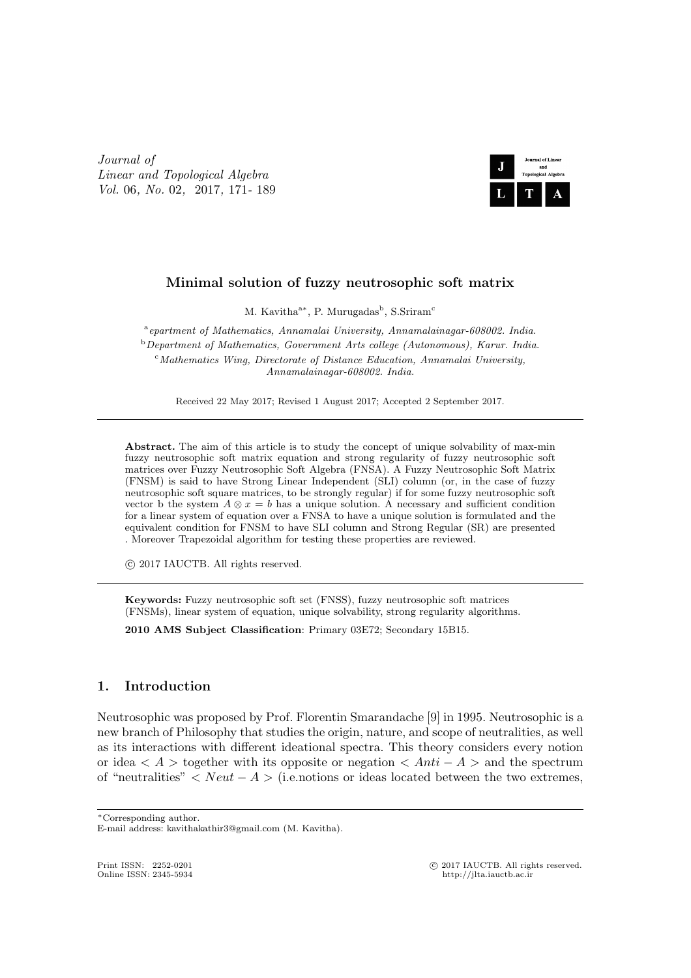*Journal of Linear and Topological Algebra Vol.* 06*, No.* 02*,* 2017*,* 171*-* 189



# **Minimal solution of fuzzy neutrosophic soft matrix**

M. Kavitha<sup>a\*</sup>, P. Murugadas<sup>b</sup>, S.Sriram<sup>c</sup>

a *epartment of Mathematics, Annamalai University, Annamalainagar-608002. India.* <sup>b</sup>*Department of Mathematics, Government Arts college (Autonomous), Karur. India.* <sup>c</sup>*Mathematics Wing, Directorate of Distance Education, Annamalai University, Annamalainagar-608002. India.*

Received 22 May 2017; Revised 1 August 2017; Accepted 2 September 2017.

Abstract. The aim of this article is to study the concept of unique solvability of max-min fuzzy neutrosophic soft matrix equation and strong regularity of fuzzy neutrosophic soft matrices over Fuzzy Neutrosophic Soft Algebra (FNSA). A Fuzzy Neutrosophic Soft Matrix (FNSM) is said to have Strong Linear Independent (SLI) column (or, in the case of fuzzy neutrosophic soft square matrices, to be strongly regular) if for some fuzzy neutrosophic soft vector b the system  $A \otimes x = b$  has a unique solution. A necessary and sufficient condition for a linear system of equation over a FNSA to have a unique solution is formulated and the equivalent condition for FNSM to have SLI column and Strong Regular (SR) are presented . Moreover Trapezoidal algorithm for testing these properties are reviewed.

*⃝*c 2017 IAUCTB. All rights reserved.

**Keywords:** Fuzzy neutrosophic soft set (FNSS), fuzzy neutrosophic soft matrices (FNSMs), linear system of equation, unique solvability, strong regularity algorithms.

**2010 AMS Subject Classification**: Primary 03E72; Secondary 15B15.

## **1. Introduction**

Neutrosophic was proposed by Prof. Florentin Smarandache [9] in 1995. Neutrosophic is a new branch of Philosophy that studies the origin, nature, and scope of neutralities, as well as its interactions with different ideational spectra. This theory considers every notion or idea *< A >* together with its opposite or negation *< Anti − A >* and the spectrum of "neutralities" *< Neut − A >* (i.e.notions or ideas located between the two extremes,

Print ISSN: 2252-0201 <sup>©</sup> 2017 IAUCTB. All rights reserved.<br>
Online ISSN: 2345-5934 *b*ttp://ilta jauctb ac ir

*<sup>∗</sup>*Corresponding author.

E-mail address: kavithakathir3@gmail.com (M. Kavitha).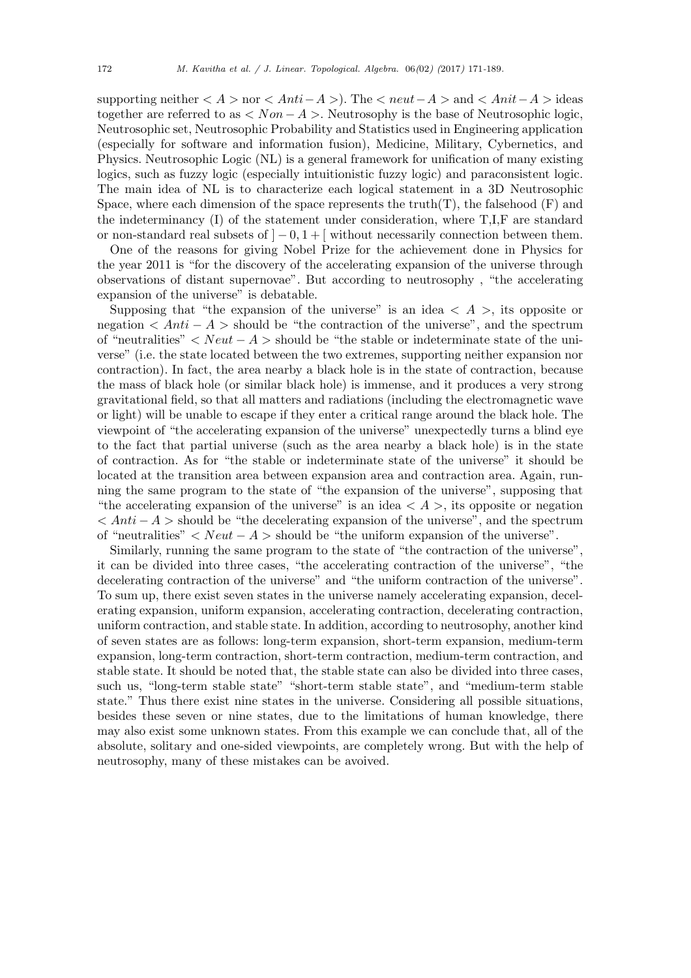supporting neither *< A >* nor *< Anti−A >*). The *< neut−A >* and *< Anit−A >* ideas together are referred to as *< Non − A >*. Neutrosophy is the base of Neutrosophic logic, Neutrosophic set, Neutrosophic Probability and Statistics used in Engineering application (especially for software and information fusion), Medicine, Military, Cybernetics, and Physics. Neutrosophic Logic (NL) is a general framework for unification of many existing logics, such as fuzzy logic (especially intuitionistic fuzzy logic) and paraconsistent logic. The main idea of NL is to characterize each logical statement in a 3D Neutrosophic Space, where each dimension of the space represents the truth $(T)$ , the falsehood  $(F)$  and the indeterminancy (I) of the statement under consideration, where T,I,F are standard or non-standard real subsets of ] *−* 0*,* 1 + [ without necessarily connection between them.

One of the reasons for giving Nobel Prize for the achievement done in Physics for the year 2011 is "for the discovery of the accelerating expansion of the universe through observations of distant supernovae". But according to neutrosophy , "the accelerating expansion of the universe" is debatable.

Supposing that "the expansion of the universe" is an idea  $\langle A \rangle$ , its opposite or negation  $\langle Anti - A \rangle$  should be "the contraction of the universe", and the spectrum of "neutralities" *< Neut − A >* should be "the stable or indeterminate state of the universe" (i.e. the state located between the two extremes, supporting neither expansion nor contraction). In fact, the area nearby a black hole is in the state of contraction, because the mass of black hole (or similar black hole) is immense, and it produces a very strong gravitational field, so that all matters and radiations (including the electromagnetic wave or light) will be unable to escape if they enter a critical range around the black hole. The viewpoint of "the accelerating expansion of the universe" unexpectedly turns a blind eye to the fact that partial universe (such as the area nearby a black hole) is in the state of contraction. As for "the stable or indeterminate state of the universe" it should be located at the transition area between expansion area and contraction area. Again, running the same program to the state of "the expansion of the universe", supposing that "the accelerating expansion of the universe" is an idea  $\lt A >$ , its opposite or negation *< Anti − A >* should be "the decelerating expansion of the universe", and the spectrum of "neutralities" *< Neut − A >* should be "the uniform expansion of the universe".

Similarly, running the same program to the state of "the contraction of the universe", it can be divided into three cases, "the accelerating contraction of the universe", "the decelerating contraction of the universe" and "the uniform contraction of the universe". To sum up, there exist seven states in the universe namely accelerating expansion, decelerating expansion, uniform expansion, accelerating contraction, decelerating contraction, uniform contraction, and stable state. In addition, according to neutrosophy, another kind of seven states are as follows: long-term expansion, short-term expansion, medium-term expansion, long-term contraction, short-term contraction, medium-term contraction, and stable state. It should be noted that, the stable state can also be divided into three cases, such us, "long-term stable state" "short-term stable state", and "medium-term stable state." Thus there exist nine states in the universe. Considering all possible situations, besides these seven or nine states, due to the limitations of human knowledge, there may also exist some unknown states. From this example we can conclude that, all of the absolute, solitary and one-sided viewpoints, are completely wrong. But with the help of neutrosophy, many of these mistakes can be avoived.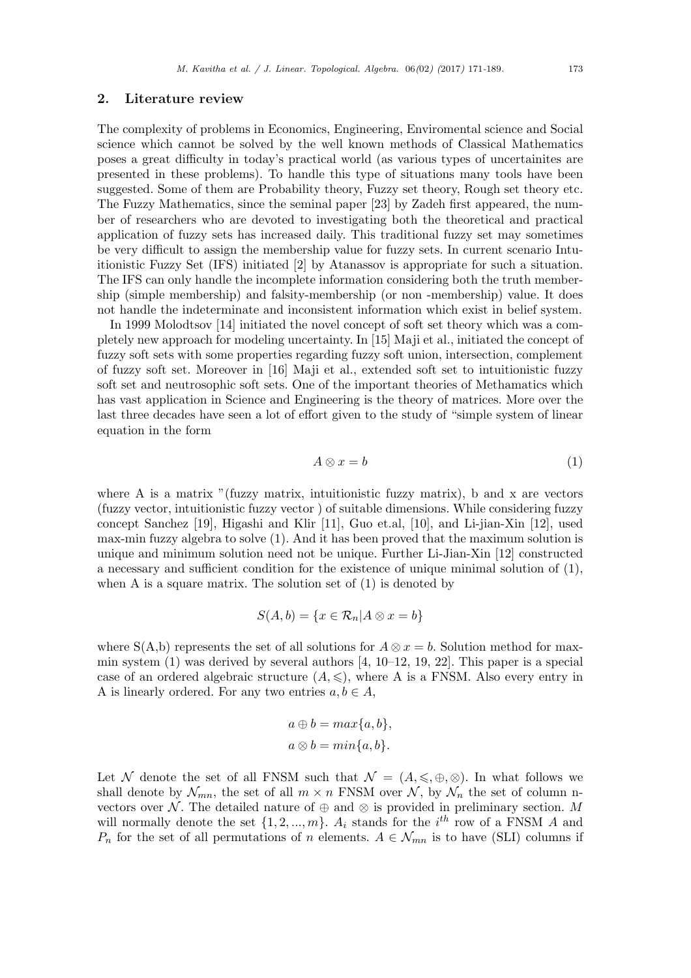#### **2. Literature review**

The complexity of problems in Economics, Engineering, Enviromental science and Social science which cannot be solved by the well known methods of Classical Mathematics poses a great difficulty in today's practical world (as various types of uncertainites are presented in these problems). To handle this type of situations many tools have been suggested. Some of them are Probability theory, Fuzzy set theory, Rough set theory etc. The Fuzzy Mathematics, since the seminal paper [23] by Zadeh first appeared, the number of researchers who are devoted to investigating both the theoretical and practical application of fuzzy sets has increased daily. This traditional fuzzy set may sometimes be very difficult to assign the membership value for fuzzy sets. In current scenario Intuitionistic Fuzzy Set (IFS) initiated [2] by Atanassov is appropriate for such a situation. The IFS can only handle the incomplete information considering both the truth membership (simple membership) and falsity-membership (or non -membership) value. It does not handle the indeterminate and inconsistent information which exist in belief system.

In 1999 Molodtsov [14] initiated the novel concept of soft set theory which was a completely new approach for modeling uncertainty. In [15] Maji et al., initiated the concept of fuzzy soft sets with some properties regarding fuzzy soft union, intersection, complement of fuzzy soft set. Moreover in [16] Maji et al., extended soft set to intuitionistic fuzzy soft set and neutrosophic soft sets. One of the important theories of Methamatics which has vast application in Science and Engineering is the theory of matrices. More over the last three decades have seen a lot of effort given to the study of "simple system of linear equation in the form

$$
A \otimes x = b \tag{1}
$$

where A is a matrix "(fuzzy matrix, intuitionistic fuzzy matrix), b and x are vectors (fuzzy vector, intuitionistic fuzzy vector ) of suitable dimensions. While considering fuzzy concept Sanchez [19], Higashi and Klir [11], Guo et.al, [10], and Li-jian-Xin [12], used max-min fuzzy algebra to solve (1). And it has been proved that the maximum solution is unique and minimum solution need not be unique. Further Li-Jian-Xin [12] constructed a necessary and sufficient condition for the existence of unique minimal solution of (1), when A is a square matrix. The solution set of  $(1)$  is denoted by

$$
S(A, b) = \{x \in \mathcal{R}_n | A \otimes x = b\}
$$

where  $S(A,b)$  represents the set of all solutions for  $A \otimes x = b$ . Solution method for maxmin system  $(1)$  was derived by several authors  $[4, 10-12, 19, 22]$ . This paper is a special case of an ordered algebraic structure  $(A, \leqslant)$ , where A is a FNSM. Also every entry in A is linearly ordered. For any two entries  $a, b \in A$ ,

$$
a \oplus b = max\{a, b\},\
$$

$$
a \otimes b = min\{a, b\}.
$$

Let *N* denote the set of all FNSM such that  $\mathcal{N} = (A, \leqslant, \oplus, \otimes)$ . In what follows we shall denote by  $\mathcal{N}_{mn}$ , the set of all  $m \times n$  FNSM over  $\mathcal{N}$ , by  $\mathcal{N}_n$  the set of column nvectors over *N*. The detailed nature of  $\oplus$  and  $\otimes$  is provided in preliminary section. *M* will normally denote the set  $\{1, 2, ..., m\}$ .  $A_i$  stands for the  $i^{th}$  row of a FNSM *A* and *P<sub>n</sub>* for the set of all permutations of *n* elements.  $A \in \mathcal{N}_{mn}$  is to have (SLI) columns if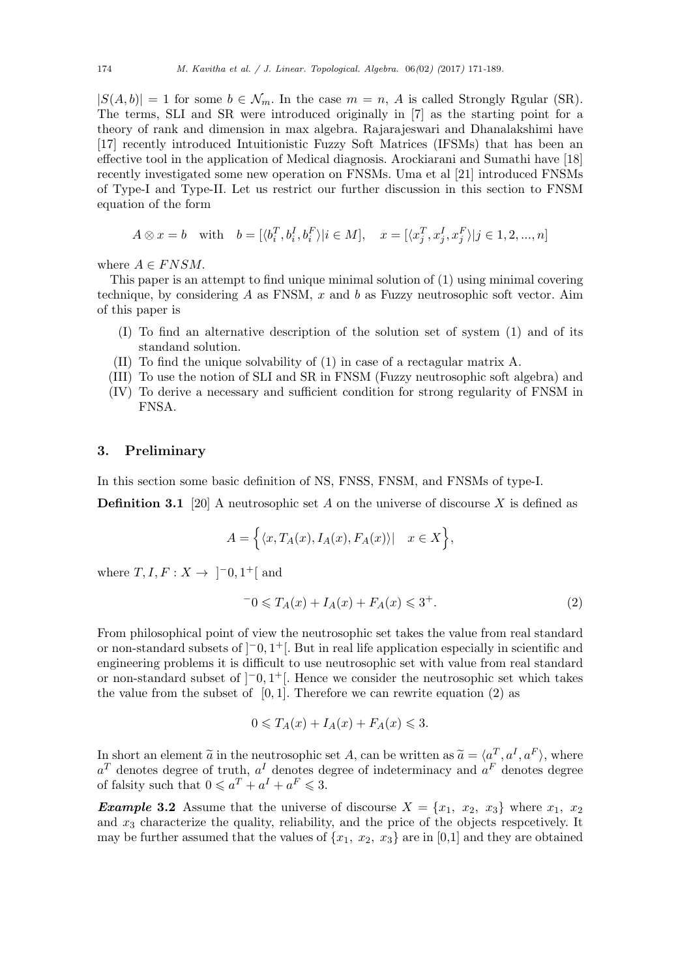$|S(A, b)| = 1$  for some  $b \in \mathcal{N}_m$ . In the case  $m = n$ , *A* is called Strongly Rgular (SR). The terms, SLI and SR were introduced originally in [7] as the starting point for a theory of rank and dimension in max algebra. Rajarajeswari and Dhanalakshimi have [17] recently introduced Intuitionistic Fuzzy Soft Matrices (IFSMs) that has been an effective tool in the application of Medical diagnosis. Arockiarani and Sumathi have [18] recently investigated some new operation on FNSMs. Uma et al [21] introduced FNSMs of Type-I and Type-II. Let us restrict our further discussion in this section to FNSM equation of the form

$$
A \otimes x = b \quad \text{with} \quad b = [\langle b_i^T, b_i^I, b_i^F \rangle | i \in M], \quad x = [\langle x_j^T, x_j^I, x_j^F \rangle | j \in 1, 2, ..., n]
$$

where  $A \in FNSM$ .

This paper is an attempt to find unique minimal solution of (1) using minimal covering technique, by considering *A* as FNSM, *x* and *b* as Fuzzy neutrosophic soft vector. Aim of this paper is

- (I) To find an alternative description of the solution set of system (1) and of its standand solution.
- (II) To find the unique solvability of (1) in case of a rectagular matrix A.
- (III) To use the notion of SLI and SR in FNSM (Fuzzy neutrosophic soft algebra) and (IV) To derive a necessary and sufficient condition for strong regularity of FNSM in

#### **3. Preliminary**

FNSA.

In this section some basic definition of NS, FNSS, FNSM, and FNSMs of type-I.

**Definition 3.1** [20] A neutrosophic set *A* on the universe of discourse *X* is defined as

$$
A = \Big\{ \langle x, T_A(x), I_A(x), F_A(x) \rangle | \quad x \in X \Big\},\
$$

where  $T, I, F: X \rightarrow ]-0, 1^+[$  and

$$
-0 \le T_A(x) + I_A(x) + F_A(x) \le 3^+.
$$
 (2)

From philosophical point of view the neutrosophic set takes the value from real standard or non-standard subsets of ]*−*0*,* 1 <sup>+</sup>[. But in real life application especially in scientific and engineering problems it is difficult to use neutrosophic set with value from real standard or non-standard subset of ]*−*0*,* 1 <sup>+</sup>[. Hence we consider the neutrosophic set which takes the value from the subset of  $[0, 1]$ . Therefore we can rewrite equation (2) as

$$
0 \leqslant T_A(x) + I_A(x) + F_A(x) \leqslant 3.
$$

In short an element  $\tilde{a}$  in the neutrosophic set *A*, can be written as  $\tilde{a} = \langle a^T, a^I, a^F \rangle$ , where  $a^T$  denotes degree of truth  $a^I$  denotes degree of indeterminacy and  $a^F$  denotes degree  $a<sup>T</sup>$  denotes degree of truth,  $a<sup>I</sup>$  denotes degree of indeterminacy and  $a<sup>F</sup>$  denotes degree of falsity such that  $0 \leq a^T + a^I + a^F \leq 3$ .

*Example* **3.2** Assume that the universe of discourse  $X = \{x_1, x_2, x_3\}$  where  $x_1, x_2$ and  $x_3$  characterize the quality, reliability, and the price of the objects respectively. It may be further assumed that the values of  $\{x_1, x_2, x_3\}$  are in [0,1] and they are obtained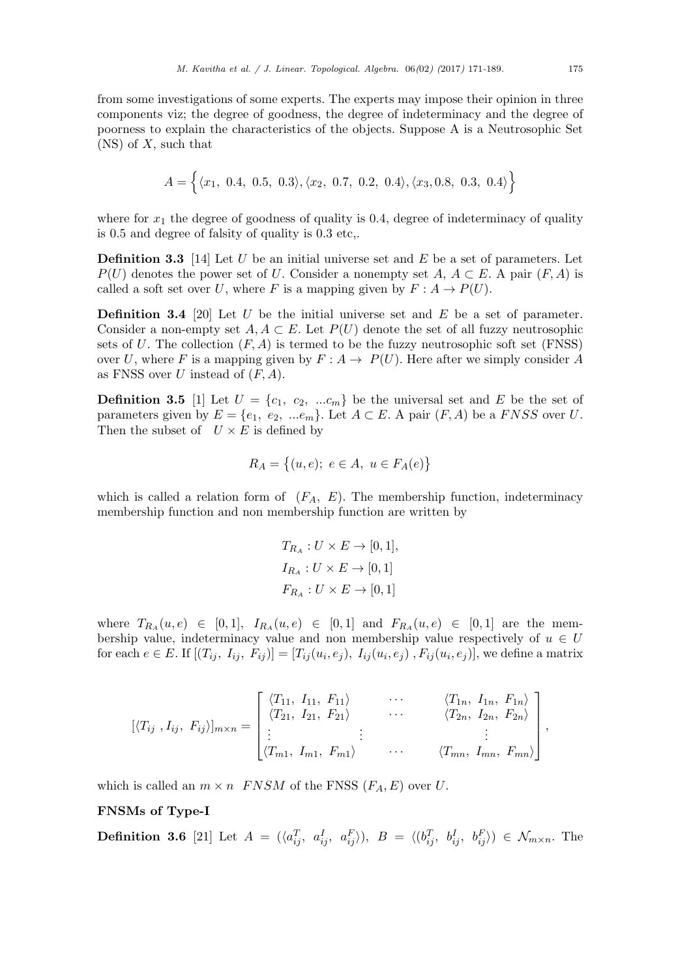$$
A = \{ \langle x_1, 0.4, 0.5, 0.3 \rangle, \langle x_2, 0.7, 0.2, 0.4 \rangle, \langle x_3, 0.8, 0.3, 0.4 \rangle \}
$$

where for  $x_1$  the degree of goodness of quality is 0.4, degree of indeterminacy of quality is 0*.*5 and degree of falsity of quality is 0*.*3 etc,.

**Definition 3.3** [14] Let *U* be an initial universe set and *E* be a set of parameters. Let *P*(*U*) denotes the power set of *U*. Consider a nonempty set *A*,  $A \subset E$ . A pair (*F, A*) is called a soft set over *U*, where *F* is a mapping given by  $F: A \rightarrow P(U)$ .

**Definition 3.4** [20] Let *U* be the initial universe set and *E* be a set of parameter. Consider a non-empty set  $A, A \subset E$ . Let  $P(U)$  denote the set of all fuzzy neutrosophic sets of *U*. The collection  $(F, A)$  is termed to be the fuzzy neutrosophic soft set  $(FNSS)$ over *U*, where *F* is a mapping given by  $F: A \rightarrow P(U)$ . Here after we simply consider *A* as FNSS over *U* instead of (*F, A*).

**Definition 3.5** [1] Let  $U = \{c_1, c_2, ... c_m\}$  be the universal set and *E* be the set of parameters given by  $E = \{e_1, e_2, ...e_m\}$ . Let  $A \subset E$ . A pair  $(F, A)$  be a *FNSS* over *U*. Then the subset of  $U \times E$  is defined by

$$
R_A = \{(u, e); e \in A, u \in F_A(e)\}
$$

which is called a relation form of  $(F_A, E)$ . The membership function, indeterminacy membership function and non membership function are written by

$$
T_{R_A}: U \times E \to [0,1],
$$
  
\n
$$
I_{R_A}: U \times E \to [0,1]
$$
  
\n
$$
F_{R_A}: U \times E \to [0,1]
$$

 $T_{R_A}(u, e) \in [0, 1],$   $I_{R_A}(u, e) \in [0, 1]$  and  $F_{R_A}(u, e) \in [0, 1]$  are the membership value, indeterminacy value and non membership value respectively of  $u \in U$ for each  $e \in E$ . If  $[(T_{ij}, I_{ij}, F_{ij})] = [T_{ij}(u_i, e_j), I_{ij}(u_i, e_j), F_{ij}(u_i, e_j)]$ , we define a matrix

$$
[\langle T_{ij}, I_{ij}, F_{ij} \rangle]_{m \times n} = \begin{bmatrix} \langle T_{11}, I_{11}, F_{11} \rangle & \cdots & \langle T_{1n}, I_{1n}, F_{1n} \rangle \\ \langle T_{21}, I_{21}, F_{21} \rangle & \cdots & \langle T_{2n}, I_{2n}, F_{2n} \rangle \\ \vdots & \vdots & \ddots & \vdots \\ \langle T_{m1}, I_{m1}, F_{m1} \rangle & \cdots & \langle T_{mn}, I_{mn}, F_{mn} \rangle \end{bmatrix},
$$

which is called an  $m \times n$  *FNSM* of the FNSS  $(F_A, E)$  over *U*.

#### **FNSMs of Type-I**

**Definition 3.6** [21] Let  $A = (\langle a_{ij}^T, a_{ij}^I, a_{ij}^F \rangle), B = \langle (b_{ij}^T, b_{ij}^I, b_{ij}^F \rangle) \in \mathcal{N}_{m \times n}$ . The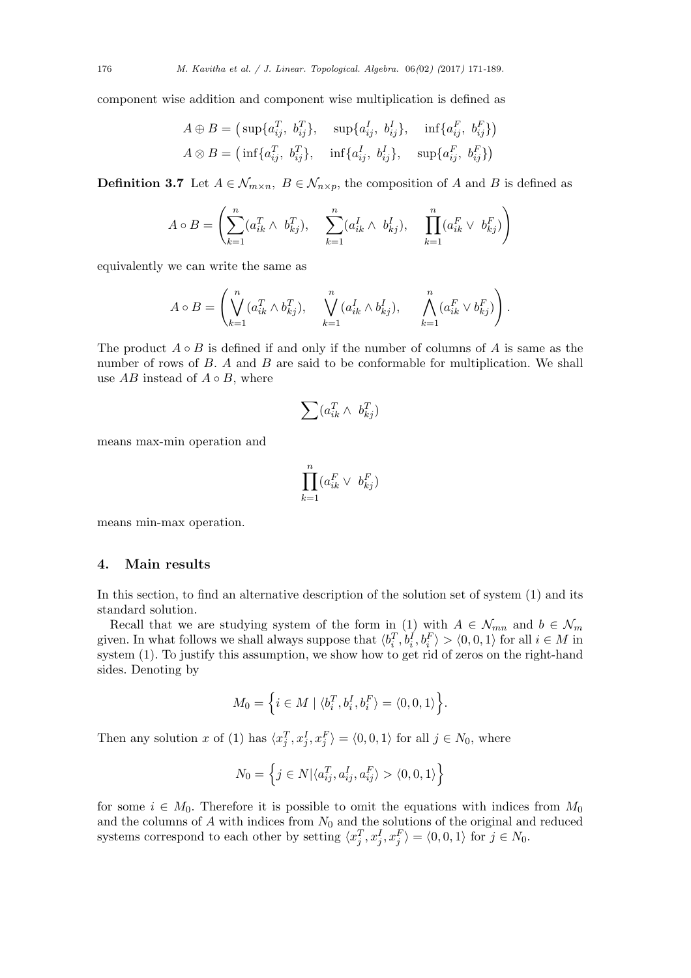component wise addition and component wise multiplication is defined as

$$
A \oplus B = (\sup \{a_{ij}^T, b_{ij}^T\}, \sup \{a_{ij}^I, b_{ij}^I\}, \inf \{a_{ij}^F, b_{ij}^F\})
$$
  

$$
A \otimes B = (\inf \{a_{ij}^T, b_{ij}^T\}, \inf \{a_{ij}^I, b_{ij}^I\}, \sup \{a_{ij}^F, b_{ij}^F\})
$$

**Definition 3.7** Let  $A \in \mathcal{N}_{m \times n}$ ,  $B \in \mathcal{N}_{n \times p}$ , the composition of *A* and *B* is defined as

$$
A \circ B = \left( \sum_{k=1}^{n} (a_{ik}^{T} \wedge b_{kj}^{T}), \sum_{k=1}^{n} (a_{ik}^{I} \wedge b_{kj}^{I}), \prod_{k=1}^{n} (a_{ik}^{F} \vee b_{kj}^{F}) \right)
$$

equivalently we can write the same as

$$
A \circ B = \left( \bigvee_{k=1}^{n} (a_{ik}^T \wedge b_{kj}^T), \quad \bigvee_{k=1}^{n} (a_{ik}^I \wedge b_{kj}^I), \quad \bigwedge_{k=1}^{n} (a_{ik}^F \vee b_{kj}^F) \right).
$$

The product  $A \circ B$  is defined if and only if the number of columns of  $A$  is same as the number of rows of *B*. *A* and *B* are said to be conformable for multiplication. We shall use  $AB$  instead of  $A \circ B$ , where

$$
\sum (a_{ik}^T \wedge b_{kj}^T)
$$

means max-min operation and

$$
\prod_{k=1}^{n} (a_{ik}^F \vee b_{kj}^F)
$$

means min-max operation.

## **4. Main results**

In this section, to find an alternative description of the solution set of system (1) and its standard solution.

Recall that we are studying system of the form in (1) with  $A \in \mathcal{N}_{mn}$  and  $b \in \mathcal{N}_m$ given. In what follows we shall always suppose that  $\langle b_i^T, b_i^I, b_i^F \rangle > \langle 0, 0, 1 \rangle$  for all  $i \in M$  in system (1). To justify this assumption, we show how to get rid of zeros on the right-hand sides. Denoting by

$$
M_0=\Big\{i\in M\mid \langle b_i^T,b_i^I,b_i^F\rangle=\langle 0,0,1\rangle\Big\}.
$$

Then any solution x of (1) has  $\langle x_j^T, x_j^I, x_j^F \rangle = \langle 0, 0, 1 \rangle$  for all  $j \in N_0$ , where

$$
N_0 = \left\{ j \in N \vert \langle a_{ij}^T, a_{ij}^I, a_{ij}^F \rangle > \langle 0, 0, 1 \rangle \right\}
$$

for some  $i \in M_0$ . Therefore it is possible to omit the equations with indices from  $M_0$ and the columns of  $A$  with indices from  $N_0$  and the solutions of the original and reduced systems correspond to each other by setting  $\langle x_j^T, x_j^I, x_j^F \rangle = \langle 0, 0, 1 \rangle$  for  $j \in N_0$ .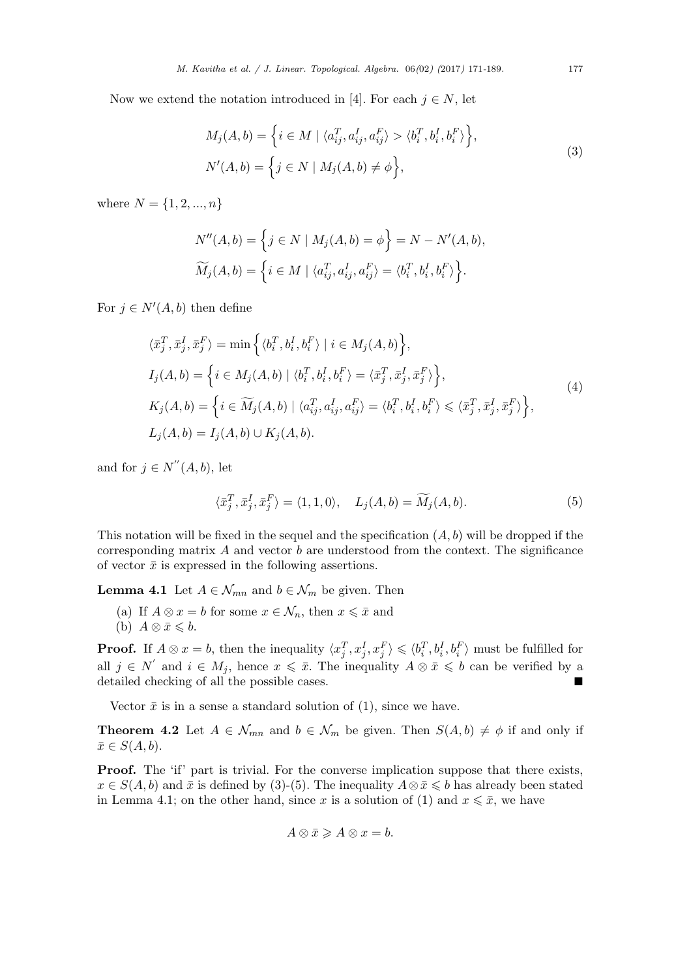Now we extend the notation introduced in [4]. For each  $j \in N$ , let

$$
M_j(A, b) = \left\{ i \in M \mid \langle a_{ij}^T, a_{ij}^I, a_{ij}^F \rangle > \langle b_i^T, b_i^I, b_i^F \rangle \right\},
$$
  
\n
$$
N'(A, b) = \left\{ j \in N \mid M_j(A, b) \neq \phi \right\},
$$
\n(3)

where  $N = \{1, 2, ..., n\}$ 

$$
N''(A,b) = \left\{ j \in N \mid M_j(A,b) = \phi \right\} = N - N'(A,b),
$$
  

$$
\widetilde{M}_j(A,b) = \left\{ i \in M \mid \langle a_{ij}^T, a_{ij}^I, a_{ij}^F \rangle = \langle b_i^T, b_i^I, b_i^F \rangle \right\}.
$$

For  $j \in N'(A, b)$  then define

$$
\langle \bar{x}_j^T, \bar{x}_j^I, \bar{x}_j^F \rangle = \min \Big\{ \langle b_i^T, b_i^I, b_i^F \rangle \mid i \in M_j(A, b) \Big\},
$$
  
\n
$$
I_j(A, b) = \Big\{ i \in M_j(A, b) \mid \langle b_i^T, b_i^I, b_i^F \rangle = \langle \bar{x}_j^T, \bar{x}_j^I, \bar{x}_j^F \rangle \Big\},
$$
  
\n
$$
K_j(A, b) = \Big\{ i \in \widetilde{M}_j(A, b) \mid \langle a_{ij}^T, a_{ij}^I, a_{ij}^F \rangle = \langle b_i^T, b_i^I, b_i^F \rangle \leq \langle \bar{x}_j^T, \bar{x}_j^I, \bar{x}_j^F \rangle \Big\},
$$
  
\n
$$
L_j(A, b) = I_j(A, b) \cup K_j(A, b).
$$
  
\n(4)

and for  $j \in N''(A, b)$ , let

$$
\langle \bar{x}_j^T, \bar{x}_j^I, \bar{x}_j^F \rangle = \langle 1, 1, 0 \rangle, \quad L_j(A, b) = \widetilde{M}_j(A, b). \tag{5}
$$

This notation will be fixed in the sequel and the specification (*A, b*) will be dropped if the corresponding matrix *A* and vector *b* are understood from the context. The significance of vector  $\bar{x}$  is expressed in the following assertions.

**Lemma 4.1** Let  $A \in \mathcal{N}_{mn}$  and  $b \in \mathcal{N}_m$  be given. Then

- (a) If  $A \otimes x = b$  for some  $x \in \mathcal{N}_n$ , then  $x \leqslant \bar{x}$  and
- (b)  $A \otimes \bar{x} \leq b$ .

**Proof.** If  $A \otimes x = b$ , then the inequality  $\langle x_j^T, x_j^I, x_j^F \rangle \leq \langle b_i^T, b_i^I, b_i^F \rangle$  must be fulfilled for all  $j \in N'$  and  $i \in M_j$ , hence  $x \leqslant \bar{x}$ . The inequality  $A \otimes \bar{x} \leqslant b$  can be verified by a detailed checking of all the possible cases.

Vector  $\bar{x}$  is in a sense a standard solution of (1), since we have.

**Theorem 4.2** Let  $A \in \mathcal{N}_{mn}$  and  $b \in \mathcal{N}_m$  be given. Then  $S(A, b) \neq \emptyset$  if and only if  $\bar{x} \in S(A, b)$ .

**Proof.** The 'if' part is trivial. For the converse implication suppose that there exists,  $x \in S(A, b)$  and  $\bar{x}$  is defined by (3)-(5). The inequality  $A \otimes \bar{x} \leqslant b$  has already been stated in Lemma 4.1; on the other hand, since x is a solution of (1) and  $x \leq \bar{x}$ , we have

$$
A\otimes \bar{x}\geqslant A\otimes x=b.
$$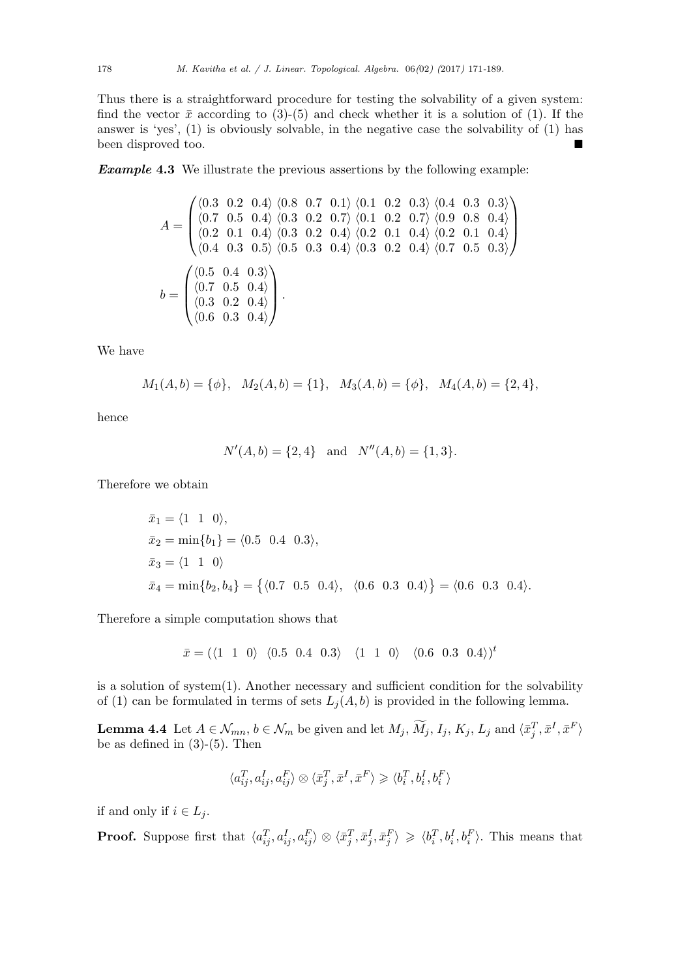Thus there is a straightforward procedure for testing the solvability of a given system: find the vector  $\bar{x}$  according to (3)-(5) and check whether it is a solution of (1). If the answer is 'yes', (1) is obviously solvable, in the negative case the solvability of (1) has been disproved too.

*Example* **4.3** We illustrate the previous assertions by the following example:

$$
A = \begin{pmatrix} \langle 0.3 & 0.2 & 0.4 \rangle & \langle 0.8 & 0.7 & 0.1 \rangle & \langle 0.1 & 0.2 & 0.3 \rangle & \langle 0.4 & 0.3 & 0.3 \rangle \\ \langle 0.7 & 0.5 & 0.4 \rangle & \langle 0.3 & 0.2 & 0.7 \rangle & \langle 0.1 & 0.2 & 0.7 \rangle & \langle 0.9 & 0.8 & 0.4 \rangle \\ \langle 0.2 & 0.1 & 0.4 \rangle & \langle 0.3 & 0.2 & 0.4 \rangle & \langle 0.2 & 0.1 & 0.4 \rangle & \langle 0.2 & 0.1 & 0.4 \rangle \\ \langle 0.4 & 0.3 & 0.5 \rangle & \langle 0.5 & 0.3 & 0.4 \rangle & \langle 0.3 & 0.2 & 0.4 \rangle & \langle 0.7 & 0.5 & 0.3 \rangle \end{pmatrix}
$$

$$
b = \begin{pmatrix} \langle 0.5 & 0.4 & 0.3 \rangle \\ \langle 0.7 & 0.5 & 0.4 \rangle \\ \langle 0.3 & 0.2 & 0.4 \rangle \\ \langle 0.6 & 0.3 & 0.4 \rangle \end{pmatrix}.
$$

We have

$$
M_1(A,b) = \{\phi\}, \quad M_2(A,b) = \{1\}, \quad M_3(A,b) = \{\phi\}, \quad M_4(A,b) = \{2,4\},
$$

hence

$$
N'(A, b) = \{2, 4\} \text{ and } N''(A, b) = \{1, 3\}.
$$

Therefore we obtain

$$
\begin{aligned}\n\bar{x}_1 &= \langle 1 \ 1 \ 0 \rangle, \\
\bar{x}_2 &= \min\{b_1\} = \langle 0.5 \ 0.4 \ 0.3 \rangle, \\
\bar{x}_3 &= \langle 1 \ 1 \ 0 \rangle \\
\bar{x}_4 &= \min\{b_2, b_4\} = \{ \langle 0.7 \ 0.5 \ 0.4 \rangle, \ \langle 0.6 \ 0.3 \ 0.4 \rangle \} = \langle 0.6 \ 0.3 \ 0.4 \rangle.\n\end{aligned}
$$

Therefore a simple computation shows that

$$
\bar{x}=(\langle 1\hspace{0.25cm} 1\hspace{0.25cm} 0\rangle \hspace{0.25cm} \langle 0.5\hspace{0.25cm} 0.4\hspace{0.25cm} 0.3\rangle \hspace{0.25cm} \langle 1\hspace{0.25cm} 1\hspace{0.25cm} 0\rangle \hspace{0.25cm} \langle 0.6\hspace{0.25cm} 0.3\hspace{0.25cm} 0.4\rangle)^t
$$

is a solution of system(1). Another necessary and sufficient condition for the solvability of (1) can be formulated in terms of sets  $L_j(A, b)$  is provided in the following lemma.

**Lemma 4.4** Let  $A \in \mathcal{N}_{mn}$ ,  $b \in \mathcal{N}_m$  be given and let  $M_j$ ,  $\widetilde{M}_j$ ,  $I_j$ ,  $K_j$ ,  $L_j$  and  $\langle \bar{x}_j^T, \bar{x}^I, \bar{x}^F \rangle$ be as defined in  $(3)-(5)$ . Then

$$
\langle a_{ij}^T, a_{ij}^I, a_{ij}^F\rangle\otimes\langle\bar{x}_j^T, \bar{x}^I, \bar{x}^F\rangle\geqslant\langle b_i^T, b_i^I, b_i^F\rangle
$$

if and only if  $i \in L_j$ .

**Proof.** Suppose first that  $\langle a_{ij}^T, a_{ij}^I, a_{ij}^F \rangle \otimes \langle \bar{x}_j^T, \bar{x}_j^I, \bar{x}_j^F \rangle \geq \langle b_i^T, b_i^I, b_i^F \rangle$ . This means that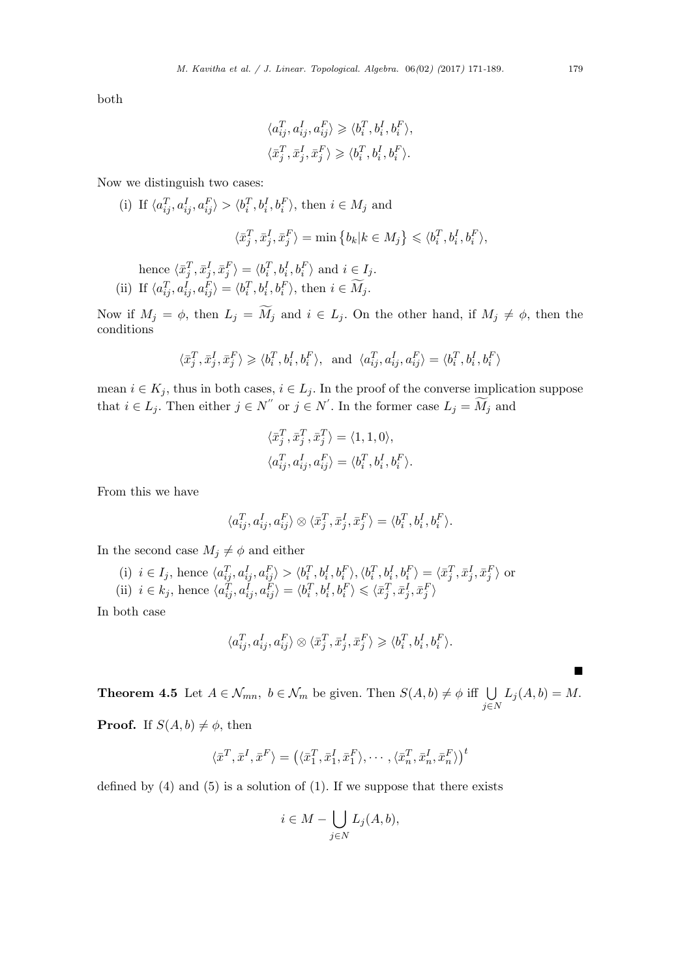both

$$
\langle a_{ij}^T, a_{ij}^I, a_{ij}^F \rangle \geq \langle b_i^T, b_i^I, b_i^F \rangle,
$$
  

$$
\langle \bar{x}_j^T, \bar{x}_j^I, \bar{x}_j^F \rangle \geq \langle b_i^T, b_i^I, b_i^F \rangle.
$$

Now we distinguish two cases:

(i) If 
$$
\langle a_{ij}^T, a_{ij}^I, a_{ij}^F \rangle > \langle b_i^T, b_i^I, b_i^F \rangle
$$
, then  $i \in M_j$  and  
 $\langle \bar{x}_j^T, \bar{x}_j^I, \bar{x}_j^F \rangle = \min \{ b_k | k \in M_j \} \leq \langle b_i^T, b_i^I, b_i^F \rangle$ ,  
hence  $\langle \bar{x}_j^T, \bar{x}_j^I, \bar{x}_j^F \rangle = \langle b_i^T, b_i^I, b_i^F \rangle$  and  $i \in I_j$ .

(ii) If  $\langle a_{ij}^T, a_{ij}^I, a_{ij}^F \rangle = \langle b_i^T, b_i^I, b_i^F \rangle$ , then  $i \in M_j$ .

Now if  $M_j = \phi$ , then  $L_j = \widetilde{M}_j$  and  $i \in L_j$ . On the other hand, if  $M_j \neq \phi$ , then the conditions

$$
\langle \bar{x}_j^T, \bar{x}_j^I, \bar{x}_j^F \rangle \geqslant \langle b_i^T, b_i^I, b_i^F \rangle, \text{ and } \langle a_{ij}^T, a_{ij}^I, a_{ij}^F \rangle = \langle b_i^T, b_i^I, b_i^F \rangle
$$

mean  $i \in K_j$ , thus in both cases,  $i \in L_j$ . In the proof of the converse implication suppose that  $i \in L_j$ . Then either  $j \in N''$  or  $j \in N'$ . In the former case  $L_j = M_j$  and

$$
\langle \bar{x}_j^T, \bar{x}_j^T, \bar{x}_j^T \rangle = \langle 1, 1, 0 \rangle,
$$
  

$$
\langle a_{ij}^T, a_{ij}^I, a_{ij}^F \rangle = \langle b_i^T, b_i^I, b_i^F \rangle.
$$

From this we have

$$
\langle a_{ij}^T, a_{ij}^I, a_{ij}^F \rangle \otimes \langle \bar{x}_j^T, \bar{x}_j^I, \bar{x}_j^F \rangle = \langle b_i^T, b_i^I, b_i^F \rangle.
$$

In the second case  $M_j \neq \phi$  and either

(i) 
$$
i \in I_j
$$
, hence  $\langle a_{ij}^T, a_{ij}^I, a_{ij}^F \rangle > \langle b_i^T, b_i^I, b_i^F \rangle, \langle b_i^T, b_i^I, b_i^F \rangle = \langle \bar{x}_j^T, \bar{x}_j^I, \bar{x}_j^F \rangle$  or  
(ii)  $i \in k_j$ , hence  $\langle a_{ij}^T, a_{ij}^I, a_{ij}^F \rangle = \langle b_i^T, b_i^I, b_i^F \rangle \leq \langle \bar{x}_j^T, \bar{x}_j^I, \bar{x}_j^F \rangle$ 

In both case

$$
\langle a_{ij}^T, a_{ij}^I, a_{ij}^F \rangle \otimes \langle \bar{x}_j^T, \bar{x}_j^I, \bar{x}_j^F \rangle \geq \langle b_i^T, b_i^I, b_i^F \rangle.
$$

**Theorem 4.5** Let  $A \in \mathcal{N}_{mn}$ ,  $b \in \mathcal{N}_m$  be given. Then  $S(A, b) \neq \emptyset$  iff ∪ *j∈N*  $L_j(A, b) = M.$ 

**Proof.** If  $S(A, b) \neq \phi$ , then

$$
\langle \bar{x}^T, \bar{x}^I, \bar{x}^F \rangle = (\langle \bar{x}_1^T, \bar{x}_1^I, \bar{x}_1^F \rangle, \cdots, \langle \bar{x}_n^T, \bar{x}_n^I, \bar{x}_n^F \rangle)^t
$$

defined by  $(4)$  and  $(5)$  is a solution of  $(1)$ . If we suppose that there exists

$$
i \in M - \bigcup_{j \in N} L_j(A, b),
$$

■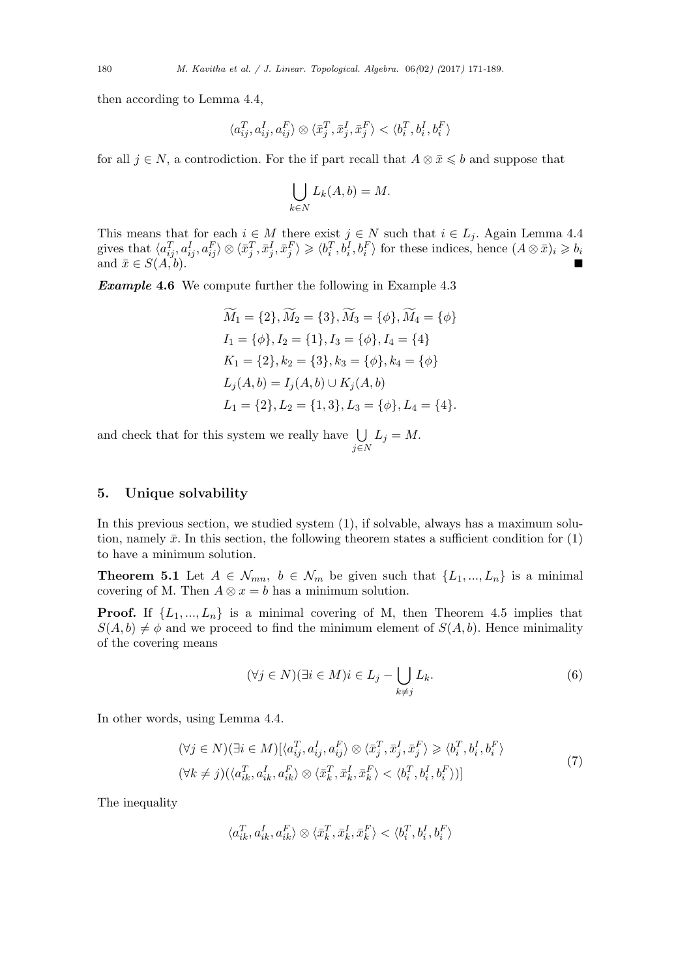then according to Lemma 4.4,

$$
\langle a_{ij}^T, a_{ij}^I, a_{ij}^F\rangle \otimes \langle \bar{x}_j^T, \bar{x}_j^I, \bar{x}_j^F\rangle < \langle b_i^T, b_i^I, b_i^F\rangle
$$

for all  $j \in N$ , a controdiction. For the if part recall that  $A \otimes \bar{x} \leq b$  and suppose that

$$
\bigcup_{k\in N} L_k(A,b) = M.
$$

This means that for each  $i \in M$  there exist  $j \in N$  such that  $i \in L_j$ . Again Lemma 4.4 gives that  $\langle a_{ij}^T, a_{ij}^I, a_{ij}^F \rangle \otimes \langle \bar{x}_j^T, \bar{x}_j^I, \bar{x}_j^F \rangle \geq \langle b_i^T, b_i^I, b_i^F \rangle$  for these indices, hence  $(A \otimes \bar{x})_i \geq b_i$ and  $\bar{x} \in S(A, b)$ .

*Example* **4.6** We compute further the following in Example 4.3

$$
\widetilde{M}_1 = \{2\}, \widetilde{M}_2 = \{3\}, \widetilde{M}_3 = \{\phi\}, \widetilde{M}_4 = \{\phi\}
$$
\n
$$
I_1 = \{\phi\}, I_2 = \{1\}, I_3 = \{\phi\}, I_4 = \{4\}
$$
\n
$$
K_1 = \{2\}, k_2 = \{3\}, k_3 = \{\phi\}, k_4 = \{\phi\}
$$
\n
$$
L_j(A, b) = I_j(A, b) \cup K_j(A, b)
$$
\n
$$
L_1 = \{2\}, L_2 = \{1, 3\}, L_3 = \{\phi\}, L_4 = \{4\}.
$$

and check that for this system we really have ∪ *j∈N*  $L_j = M$ .

#### **5. Unique solvability**

In this previous section, we studied system (1), if solvable, always has a maximum solution, namely  $\bar{x}$ . In this section, the following theorem states a sufficient condition for  $(1)$ to have a minimum solution.

**Theorem 5.1** Let  $A \in \mathcal{N}_{mn}$ ,  $b \in \mathcal{N}_m$  be given such that  $\{L_1, ..., L_n\}$  is a minimal covering of M. Then  $A \otimes x = b$  has a minimum solution.

**Proof.** If  $\{L_1, ..., L_n\}$  is a minimal covering of M, then Theorem 4.5 implies that  $S(A, b) \neq \emptyset$  and we proceed to find the minimum element of  $S(A, b)$ . Hence minimality of the covering means

$$
(\forall j \in N)(\exists i \in M)i \in L_j - \bigcup_{k \neq j} L_k. \tag{6}
$$

In other words, using Lemma 4.4.

$$
(\forall j \in N)(\exists i \in M)[\langle a_{ij}^T, a_{ij}^I, a_{ij}^F \rangle \otimes \langle \bar{x}_j^T, \bar{x}_j^I, \bar{x}_j^F \rangle \geq \langle b_i^T, b_i^I, b_i^F \rangle
$$
  

$$
(\forall k \neq j)(\langle a_{ik}^T, a_{ik}^I, a_{ik}^F \rangle \otimes \langle \bar{x}_k^T, \bar{x}_k^I, \bar{x}_k^F \rangle < \langle b_i^T, b_i^I, b_i^F \rangle)]
$$
\n
$$
(7)
$$

The inequality

$$
\langle a_{ik}^T, a_{ik}^I, a_{ik}^F \rangle \otimes \langle \bar{x}_k^T, \bar{x}_k^I, \bar{x}_k^F \rangle < \langle b_i^T, b_i^I, b_i^F \rangle
$$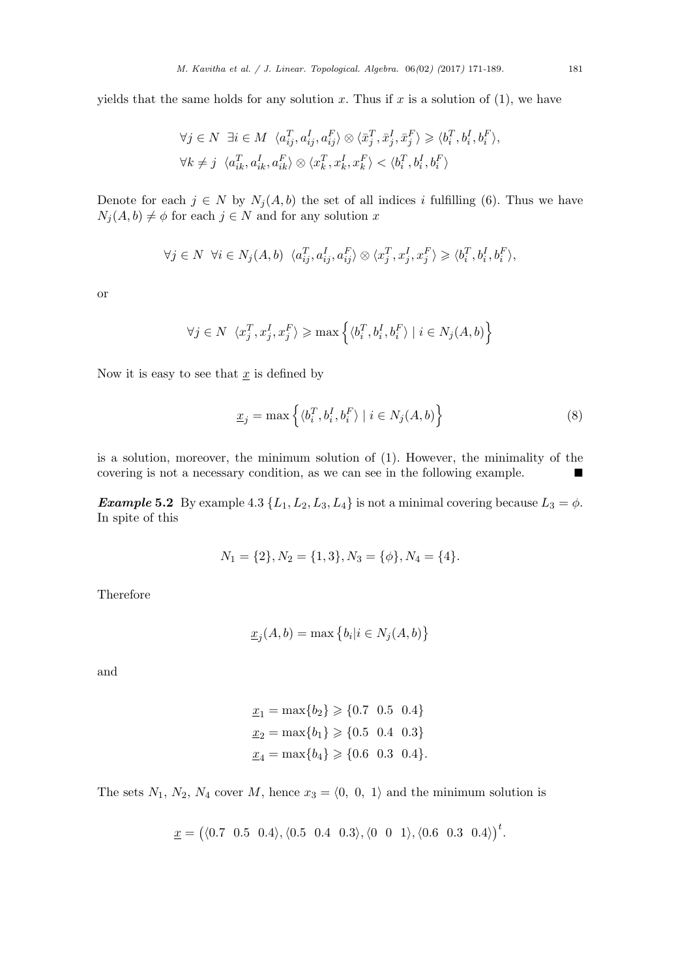yields that the same holds for any solution  $x$ . Thus if  $x$  is a solution of  $(1)$ , we have

$$
\forall j \in N \ \exists i \in M \ \langle a_{ij}^T, a_{ij}^I, a_{ij}^F \rangle \otimes \langle \bar{x}_j^T, \bar{x}_j^I, \bar{x}_j^F \rangle \geq \langle b_i^T, b_i^I, b_i^F \rangle,
$$
  

$$
\forall k \neq j \ \langle a_{ik}^T, a_{ik}^I, a_{ik}^F \rangle \otimes \langle x_k^T, x_k^I, x_k^F \rangle < \langle b_i^T, b_i^I, b_i^F \rangle
$$

Denote for each  $j \in N$  by  $N_j(A, b)$  the set of all indices *i* fulfilling (6). Thus we have  $N_j(A, b) \neq \emptyset$  for each  $j \in N$  and for any solution *x* 

$$
\forall j \in N \ \forall i \in N_j(A, b) \ \langle a_{ij}^T, a_{ij}^I, a_{ij}^F \rangle \otimes \langle x_j^T, x_j^I, x_j^F \rangle \geq \langle b_i^T, b_i^I, b_i^F \rangle,
$$

or

$$
\forall j \in N \ \langle x_j^T, x_j^I, x_j^F \rangle \geqslant \max \Big\{ \langle b_i^T, b_i^I, b_i^F \rangle \mid i \in N_j(A, b) \Big\}
$$

Now it is easy to see that  $\underline{x}$  is defined by

$$
\underline{x}_{j} = \max \left\{ \langle b_{i}^{T}, b_{i}^{I}, b_{i}^{F} \rangle \mid i \in N_{j}(A, b) \right\}
$$
\n(8)

is a solution, moreover, the minimum solution of (1). However, the minimality of the covering is not a necessary condition, as we can see in the following example. ■

*Example* 5.2 By example 4.3  $\{L_1, L_2, L_3, L_4\}$  is not a minimal covering because  $L_3 = \phi$ . In spite of this

$$
N_1 = \{2\}, N_2 = \{1, 3\}, N_3 = \{\phi\}, N_4 = \{4\}.
$$

Therefore

$$
\underline{x}_j(A,b) = \max\left\{b_i|i \in N_j(A,b)\right\}
$$

and

$$
\underline{x}_1 = \max\{b_2\} \geq \{0.7 \quad 0.5 \quad 0.4\}
$$

$$
\underline{x}_2 = \max\{b_1\} \geq \{0.5 \quad 0.4 \quad 0.3\}
$$

$$
\underline{x}_4 = \max\{b_4\} \geq \{0.6 \quad 0.3 \quad 0.4\}.
$$

The sets  $N_1$ ,  $N_2$ ,  $N_4$  cover  $M$ , hence  $x_3 = \langle 0, 0, 1 \rangle$  and the minimum solution is

$$
\underline{x} = (\langle 0.7 \ 0.5 \ 0.4 \rangle, \langle 0.5 \ 0.4 \ 0.3 \rangle, \langle 0 \ 0 \ 1 \rangle, \langle 0.6 \ 0.3 \ 0.4 \rangle)^t.
$$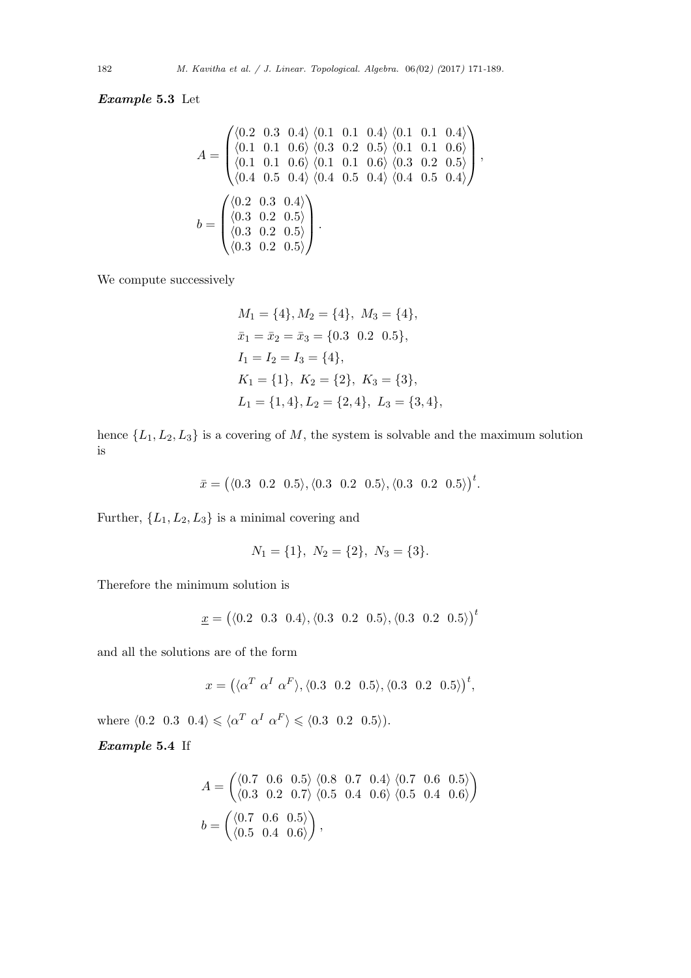*Example* **5.3** Let

$$
A = \begin{pmatrix} \langle 0.2 & 0.3 & 0.4 \rangle & \langle 0.1 & 0.1 & 0.4 \rangle & \langle 0.1 & 0.1 & 0.4 \rangle \\ \langle 0.1 & 0.1 & 0.6 \rangle & \langle 0.3 & 0.2 & 0.5 \rangle & \langle 0.1 & 0.1 & 0.6 \rangle \\ \langle 0.1 & 0.1 & 0.6 \rangle & \langle 0.1 & 0.1 & 0.6 \rangle & \langle 0.3 & 0.2 & 0.5 \rangle \\ \langle 0.4 & 0.5 & 0.4 \rangle & \langle 0.4 & 0.5 & 0.4 \rangle & \langle 0.4 & 0.5 & 0.4 \rangle \end{pmatrix},
$$

$$
b = \begin{pmatrix} \langle 0.2 & 0.3 & 0.4 \rangle \\ \langle 0.3 & 0.2 & 0.5 \rangle \\ \langle 0.3 & 0.2 & 0.5 \rangle \\ \langle 0.3 & 0.2 & 0.5 \rangle \end{pmatrix}.
$$

We compute successively

$$
M_1 = \{4\}, M_2 = \{4\}, M_3 = \{4\},
$$
  
\n
$$
\bar{x}_1 = \bar{x}_2 = \bar{x}_3 = \{0.3 \quad 0.2 \quad 0.5\},
$$
  
\n
$$
I_1 = I_2 = I_3 = \{4\},
$$
  
\n
$$
K_1 = \{1\}, K_2 = \{2\}, K_3 = \{3\},
$$
  
\n
$$
L_1 = \{1, 4\}, L_2 = \{2, 4\}, L_3 = \{3, 4\},
$$

hence  $\{L_1, L_2, L_3\}$  is a covering of *M*, the system is solvable and the maximum solution is

$$
\bar{x} = (\langle 0.3 \ 0.2 \ 0.5 \rangle, \langle 0.3 \ 0.2 \ 0.5 \rangle, \langle 0.3 \ 0.2 \ 0.5 \rangle)^t.
$$

Further,  $\{L_1, L_2, L_3\}$  is a minimal covering and

$$
N_1 = \{1\}, N_2 = \{2\}, N_3 = \{3\}.
$$

Therefore the minimum solution is

$$
\underline{x} = (\langle 0.2 \ 0.3 \ 0.4 \rangle, \langle 0.3 \ 0.2 \ 0.5 \rangle, \langle 0.3 \ 0.2 \ 0.5 \rangle)^t
$$

and all the solutions are of the form

$$
x = (\langle \alpha^T \alpha^I \alpha^F \rangle, \langle 0.3 \quad 0.2 \quad 0.5 \rangle, \langle 0.3 \quad 0.2 \quad 0.5 \rangle)^t,
$$

where  $\langle 0.2 \ 0.3 \ 0.4 \rangle \leq \langle \alpha^T \alpha^I \alpha^F \rangle \leq \langle 0.3 \ 0.2 \ 0.5 \rangle$ .

*Example* **5.4** If

$$
A = \begin{pmatrix} \langle 0.7 & 0.6 & 0.5 \rangle & \langle 0.8 & 0.7 & 0.4 \rangle & \langle 0.7 & 0.6 & 0.5 \rangle \\ \langle 0.3 & 0.2 & 0.7 \rangle & \langle 0.5 & 0.4 & 0.6 \rangle & \langle 0.5 & 0.4 & 0.6 \rangle \end{pmatrix}
$$

$$
b = \begin{pmatrix} \langle 0.7 & 0.6 & 0.5 \rangle \\ \langle 0.5 & 0.4 & 0.6 \rangle \end{pmatrix},
$$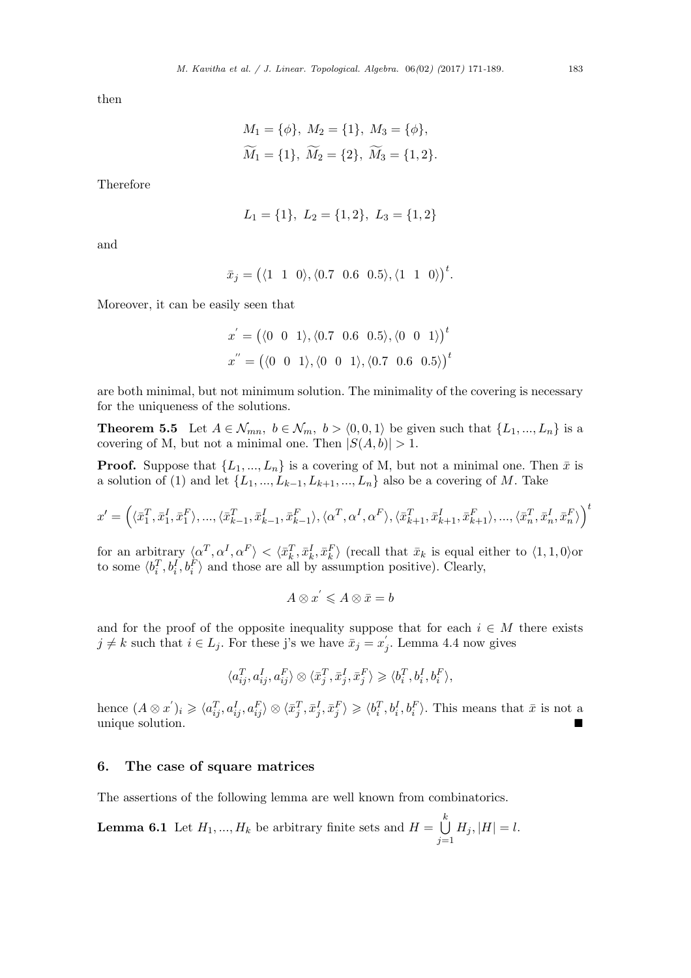then

$$
M_1 = \{\phi\}, M_2 = \{1\}, M_3 = \{\phi\},
$$
  

$$
\widetilde{M}_1 = \{1\}, \widetilde{M}_2 = \{2\}, \widetilde{M}_3 = \{1, 2\}.
$$

Therefore

$$
L_1 = \{1\}, L_2 = \{1, 2\}, L_3 = \{1, 2\}
$$

and

$$
\bar{x}_j = \big( \langle 1 \quad 1 \quad 0 \rangle, \langle 0.7 \quad 0.6 \quad 0.5 \rangle, \langle 1 \quad 1 \quad 0 \rangle \big)^t.
$$

Moreover, it can be easily seen that

$$
x' = (\langle 0 \ 0 \ 1 \rangle, \langle 0.7 \ 0.6 \ 0.5 \rangle, \langle 0 \ 0 \ 1 \rangle)^t
$$
  

$$
x'' = (\langle 0 \ 0 \ 1 \rangle, \langle 0 \ 0 \ 1 \rangle, \langle 0.7 \ 0.6 \ 0.5 \rangle)^t
$$

are both minimal, but not minimum solution. The minimality of the covering is necessary for the uniqueness of the solutions.

**Theorem 5.5** Let  $A \in \mathcal{N}_{mn}$ ,  $b \in \mathcal{N}_m$ ,  $b > \langle 0, 0, 1 \rangle$  be given such that  $\{L_1, ..., L_n\}$  is a covering of M, but not a minimal one. Then  $|S(A, b)| > 1$ .

**Proof.** Suppose that  $\{L_1, ..., L_n\}$  is a covering of M, but not a minimal one. Then  $\bar{x}$  is a solution of (1) and let  $\{L_1, ..., L_{k-1}, L_{k+1}, ..., L_n\}$  also be a covering of *M*. Take

$$
x' = \left(\langle \bar{x}_1^T, \bar{x}_1^I, \bar{x}_1^F \rangle, ..., \langle \bar{x}_{k-1}^T, \bar{x}_{k-1}^I, \bar{x}_{k-1}^F \rangle, \langle \alpha^T, \alpha^I, \alpha^F \rangle, \langle \bar{x}_{k+1}^T, \bar{x}_{k+1}^I, \bar{x}_{k+1}^F \rangle, ..., \langle \bar{x}_n^T, \bar{x}_n^I, \bar{x}_n^F \rangle \right)^t
$$

for an arbitrary  $\langle \alpha^T, \alpha^I, \alpha^F \rangle < \langle \bar{x}_k^T, \bar{x}_k^I, \bar{x}_k^F \rangle$  (recall that  $\bar{x}_k$  is equal either to  $\langle 1, 1, 0 \rangle$ or to some  $\langle b_i^T, b_i^I, b_i^F \rangle$  and those are all by assumption positive). Clearly,

$$
A \otimes x^{'} \leqslant A \otimes \bar{x} = b
$$

and for the proof of the opposite inequality suppose that for each  $i \in M$  there exists *j* ≠ *k* such that *i* ∈ *L*<sub>*j*</sub>. For these j's we have  $\bar{x}_j = x'_j$ . Lemma 4.4 now gives

$$
\langle a_{ij}^T, a_{ij}^I, a_{ij}^F\rangle\otimes\langle \bar x_j^T, \bar x_j^I, \bar x_j^F\rangle\geqslant\langle b_i^T, b_i^I, b_i^F\rangle,
$$

hence  $(A \otimes x')_i \geq \langle a_{ij}^T, a_{ij}^I, a_{ij}^F \rangle \otimes \langle \bar{x}_j^T, \bar{x}_j^I, \bar{x}_j^F \rangle \geq \langle b_i^T, b_i^I, b_i^F \rangle$ . This means that  $\bar{x}$  is not a unique solution.

## **6. The case of square matrices**

The assertions of the following lemma are well known from combinatorics.

**Lemma 6.1** Let  $H_1, ..., H_k$  be arbitrary finite sets and  $H = \bigcup$ *k j*=1  $H_j$ ,  $|H| = l$ .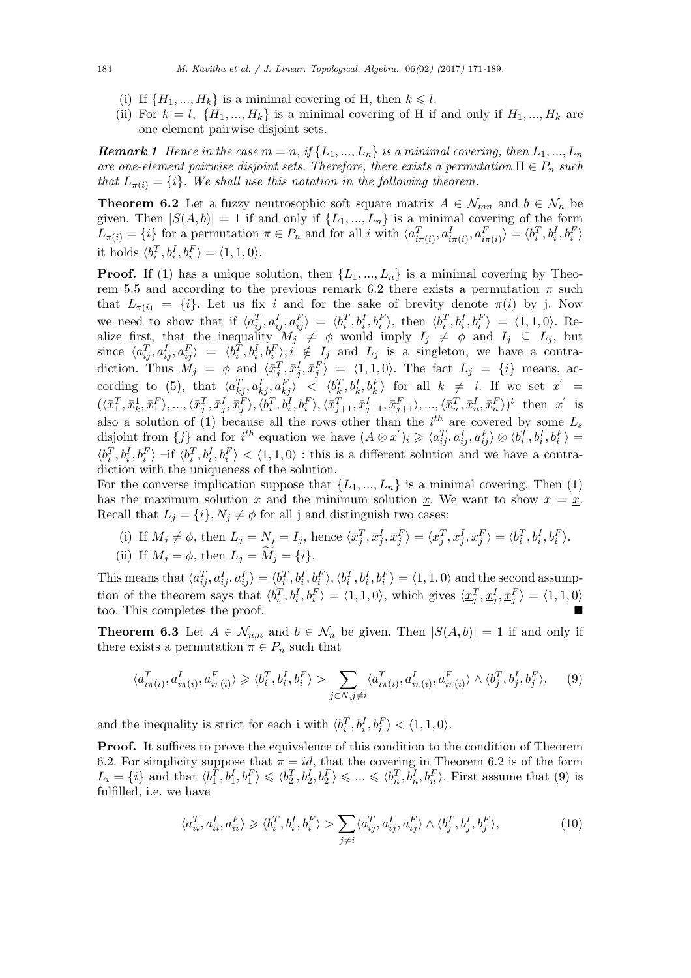- (i) If  $\{H_1, ..., H_k\}$  is a minimal covering of H, then  $k \leq l$ .
- (ii) For  $k = l$ ,  $\{H_1, ..., H_k\}$  is a minimal covering of H if and only if  $H_1, ..., H_k$  are one element pairwise disjoint sets.

*Remark 1 Hence in the case*  $m = n$ , *if*  $\{L_1, ..., L_n\}$  *is a minimal covering, then*  $L_1, ..., L_n$ *are one-element pairwise disjoint sets. Therefore, there exists a permutation*  $\Pi \in P_n$  *such that*  $L_{\pi(i)} = \{i\}$ *. We shall use this notation in the following theorem.* 

**Theorem 6.2** Let a fuzzy neutrosophic soft square matrix  $A \in \mathcal{N}_{mn}$  and  $b \in \mathcal{N}_n$  be given. Then  $|S(A, b)| = 1$  if and only if  $\{L_1, ..., L_n\}$  is a minimal covering of the form  $L_{\pi(i)} = \{i\}$  for a permutation  $\pi \in P_n$  and for all i with  $\langle a_{i\pi(i)}^T, a_{i\pi(i)}^I, a_{i\pi(i)}^F \rangle = \langle b_i^T, b_i^I, b_i^F \rangle$ it holds  $\langle b_i^T, b_i^I, b_i^F \rangle = \langle 1, 1, 0 \rangle$ .

**Proof.** If (1) has a unique solution, then  $\{L_1, ..., L_n\}$  is a minimal covering by Theorem 5.5 and according to the previous remark 6.2 there exists a permutation  $\pi$  such that  $L_{\pi(i)} = \{i\}$ . Let us fix *i* and for the sake of brevity denote  $\pi(i)$  by j. Now we need to show that if  $\langle a_{ij}^T, a_{ij}^I, a_{ij}^F \rangle = \langle b_i^T, b_i^I, b_i^F \rangle$ , then  $\langle b_i^T, b_i^I, b_i^F \rangle = \langle 1, 1, 0 \rangle$ . Realize first, that the inequality  $M_j \neq \phi$  would imply  $I_j \neq \phi$  and  $I_j \subseteq L_j$ , but since  $\langle a_{ij}^T, a_{ij}^I, a_{ij}^F \rangle = \langle b_i^T, b_i^I, b_i^F \rangle, i \notin I_j$  and  $L_j$  is a singleton, we have a contradiction. Thus  $M_j = \phi$  and  $\langle \bar{x}_j^T, \bar{x}_j^I, \bar{x}_j^F \rangle = \langle 1, 1, 0 \rangle$ . The fact  $L_j = \{i\}$  means, ac- $\text{cording to (5), that }\langle a_{kj}^T, a_{kj}^I, a_{kj}^F\rangle \prec \langle b_k^T, b_k^I, b_k^F\rangle \text{ for all } k \neq i. \text{ If we set } x' = x'$  $(\langle \bar{x}_1^T, \bar{x}_k^1, \bar{x}_1^F \rangle, ..., \langle \bar{x}_j^T, \bar{x}_j^I, \bar{x}_j^F \rangle, \langle b_i^T, b_i^I, b_i^F \rangle, \langle \bar{x}_{j+1}^T, \bar{x}_{j+1}^I, \bar{x}_{j+1}^F \rangle, ..., \langle \bar{x}_n^T, \bar{x}_n^I, \bar{x}_n^F \rangle)^t$  then  $x'$  is also a solution of (1) because all the rows other than the  $i^{th}$  are covered by some  $L_s$ disjoint from  $\{j\}$  and for  $i^{th}$  equation we have  $(A \otimes x')_i \geq \langle a_{ij}^T, a_{ij}^I, a_{ij}^F \rangle \otimes \langle b_i^T, b_i^I, b_i^F \rangle =$  $\langle b_i^T, b_i^I, b_i^F \rangle$  -if  $\langle b_i^T, b_i^I, b_i^F \rangle < \langle 1, 1, 0 \rangle$ : this is a different solution and we have a contradiction with the uniqueness of the solution.

For the converse implication suppose that  $\{L_1, ..., L_n\}$  is a minimal covering. Then (1) has the maximum solution  $\bar{x}$  and the minimum solution <u>x</u>. We want to show  $\bar{x} = \underline{x}$ . Recall that  $L_j = \{i\}, N_j \neq \phi$  for all j and distinguish two cases:

- (i) If  $M_j \neq \phi$ , then  $L_j = N_j = I_j$ , hence  $\langle \bar{x}_j^T, \bar{x}_j^I, \bar{x}_j^F \rangle = \langle \underline{x}_j^T, \underline{x}_j^I, \underline{x}_j^F \rangle = \langle b_i^T, b_i^I, b_i^F \rangle$ .
- (ii) If  $M_i = \phi$ , then  $L_i = \widetilde{M}_i = \{i\}$ .

This means that  $\langle a_{ij}^T, a_{ij}^I, a_{ij}^F \rangle = \langle b_i^T, b_i^I, b_i^F \rangle, \langle b_i^T, b_i^I, b_i^F \rangle = \langle 1, 1, 0 \rangle$  and the second assumption of the theorem says that  $\langle b_i^T, b_i^I, b_i^F \rangle = \langle 1, 1, 0 \rangle$ , which gives  $\langle \underline{x}_j^T, \underline{x}_j^I, \underline{x}_j^F \rangle = \langle 1, 1, 0 \rangle$ too. This completes the proof.

**Theorem 6.3** Let  $A \in \mathcal{N}_{n,n}$  and  $b \in \mathcal{N}_n$  be given. Then  $|S(A,b)| = 1$  if and only if there exists a permutation  $\pi \in P_n$  such that

$$
\langle a_{i\pi(i)}^T, a_{i\pi(i)}^I, a_{i\pi(i)}^F \rangle \ge \langle b_i^T, b_i^I, b_i^F \rangle > \sum_{j \in N, j \ne i} \langle a_{i\pi(i)}^T, a_{i\pi(i)}^I, a_{i\pi(i)}^F \rangle \wedge \langle b_j^T, b_j^I, b_j^F \rangle, \tag{9}
$$

and the inequality is strict for each i with  $\langle b_i^T, b_i^I, b_i^F \rangle < \langle 1, 1, 0 \rangle$ .

**Proof.** It suffices to prove the equivalence of this condition to the condition of Theorem 6.2. For simplicity suppose that  $\pi = id$ , that the covering in Theorem 6.2 is of the form  $L_i = \{i\}$  and that  $\langle b_1^T, b_1^I, b_1^F \rangle \leq \langle b_2^T, b_2^I, b_2^F \rangle \leq \ldots \leq \langle b_n^T, b_n^I, b_n^F \rangle$ . First assume that (9) is fulfilled, i.e. we have

$$
\langle a_{ii}^T, a_{ii}^I, a_{ii}^F \rangle \geq \langle b_i^T, b_i^I, b_i^F \rangle > \sum_{j \neq i} \langle a_{ij}^T, a_{ij}^I, a_{ij}^F \rangle \wedge \langle b_j^T, b_j^I, b_j^F \rangle, \tag{10}
$$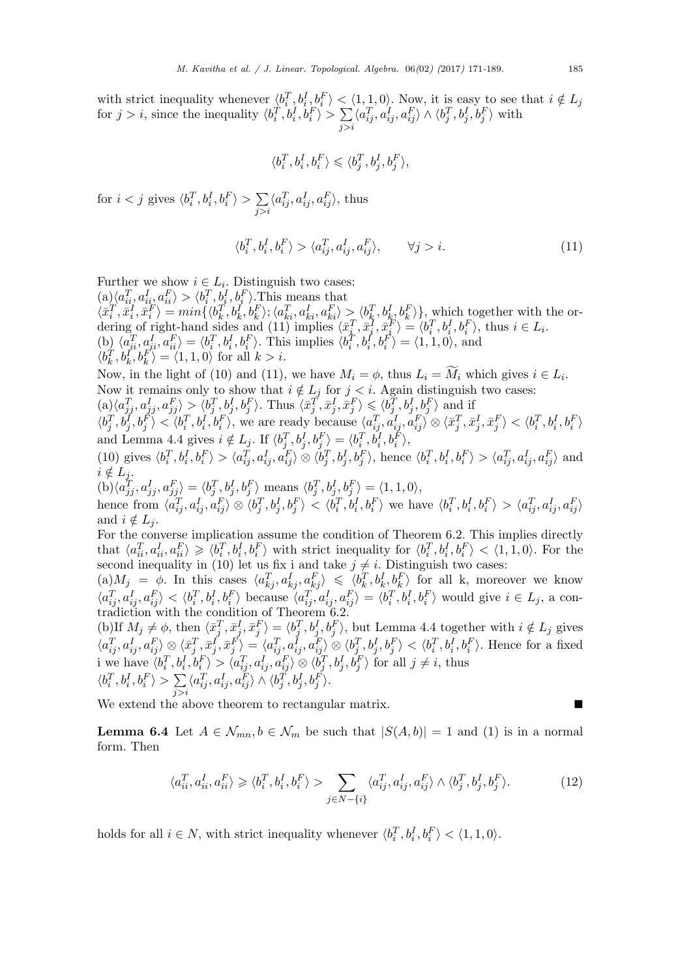with strict inequality whenever  $\langle b_i^T, b_i^I, b_i^F \rangle < \langle 1, 1, 0 \rangle$ . Now, it is easy to see that  $i \notin L_j$ for  $j > i$ , since the inequality  $\langle b_i^T, b_i^I, b_i^F \rangle > \sum$ *j>i*  $\langle a_{ij}^T, a_{ij}^I, a_{ij}^F \rangle \wedge \langle b_j^T, b_j^I, b_j^F \rangle$  with

$$
\langle b_i^T,b_i^I,b_i^F\rangle\leqslant \langle b_j^T,b_j^I,b_j^F\rangle,
$$

for  $i < j$  gives  $\langle b_i^T, b_i^I, b_i^F \rangle > \sum$ *j>i*  $\langle a_{ij}^T, a_{ij}^I, a_{ij}^F \rangle$ , thus

$$
\langle b_i^T, b_i^I, b_i^F \rangle > \langle a_{ij}^T, a_{ij}^I, a_{ij}^F \rangle, \qquad \forall j > i.
$$
 (11)

Further we show  $i \in L_i$ . Distinguish two cases:  $(a) \langle a_{ii}^T, a_{ii}^I, a_{ii}^F \rangle > \langle b_i^T, b_i^I, b_i^F \rangle$ . This means that  $\langle \bar{x}_i^T, \bar{x}_i^I, \bar{x}_i^F \rangle = min \{ \langle b_k^T, b_k^I, b_k^F \rangle; \langle a_{ki}^T, a_{ki}^I, a_{ki}^F \rangle \geq \langle b_k^T, b_k^I, b_k^F \rangle \},$  which together with the ordering of right-hand sides and (11) implies  $\langle \bar{x}_i^T, \bar{x}_i^T, \bar{x}_i^T \rangle = \langle b_i^T, b_i^I, b_i^F \rangle$ , thus  $i \in L_i$ . (b)  $\langle a_{ii}^T, a_{ii}^I, a_{ii}^F \rangle = \langle b_i^T, b_i^I, b_i^F \rangle$ . This implies  $\langle b_i^T, b_i^I, b_i^F \rangle = \langle 1, 1, 0 \rangle$ , and  $\langle b_k^T, b_k^T, b_k^F \rangle = \langle 1, 1, 0 \rangle$  for all  $k > i$ . Now, in the light of (10) and (11), we have  $M_i = \phi$ , thus  $L_i = M_i$  which gives  $i \in L_i$ Now, in the light of (10) and (11), we have  $M_i = \phi$ , thus  $L_i = \widetilde{M}_i$  which gives  $i \in L_i$ . Now it remains only to show that  $i \notin L_j$  for  $j < i$ . Again distinguish two cases:  $\langle a \rangle \langle a_{jj}^T, a_{jj}^I, a_{jj}^F \rangle > \langle b_j^T, b_j^I, b_j^F \rangle$ . Thus  $\langle \bar{x}_j^T, \bar{x}_j^I, \bar{x}_j^F \rangle \leqslant \langle b_j^T, b_j^I, b_j^F \rangle$  and if  $\langle b_j^T, b_j^I, b_j^F \rangle < \langle b_i^T, b_i^I, b_i^F \rangle$ , we are ready because  $\langle a_{ij}^T, a_{ij}^I, a_{ij}^F \rangle \otimes \langle \bar{x}_j^T, \bar{x}_j^I, \bar{x}_j^F \rangle < \langle b_i^T, b_i^I, b_i^F \rangle$ and Lemma 4.4 gives  $i \notin L_j$ . If  $\langle b_j^T, b_j^I, b_j^F \rangle = \langle b_i^T, b_i^I, b_i^F \rangle$ , (10) gives  $\langle b_i^T, b_i^I, b_i^F \rangle > \langle a_{ij}^T, a_{ij}^I, a_{ij}^F \rangle \otimes \langle b_j^T, b_j^I, b_j^F \rangle$ , hence  $\langle b_i^T, b_i^I, b_i^F \rangle > \langle a_{ij}^T, a_{ij}^I, a_{ij}^F \rangle$  and  $i \notin L_j$ .  $\langle \text{b} \rangle \langle a_{jj}^T, a_{jj}^I, a_{jj}^F \rangle = \langle b_j^T, b_j^I, b_j^F \rangle$  means  $\langle b_j^T, b_j^I, b_j^F \rangle = \langle 1, 1, 0 \rangle$ , hence from  $\langle a_{ij}^T, a_{ij}^I, a_{ij}^F \rangle \otimes \langle b_j^T, b_j^I, b_j^F \rangle < \langle b_i^T, b_i^I, b_i^F \rangle$  we have  $\langle b_i^T, b_i^I, b_i^F \rangle > \langle a_{ij}^T, a_{ij}^I, a_{ij}^F \rangle$ and  $i \notin L_j$ . For the converse implication assume the condition of Theorem 6.2. This implies directly that  $\langle a_{ii}^T, a_{ii}^I, a_{ii}^F \rangle \geq \langle b_i^T, b_i^I, b_i^F \rangle$  with strict inequality for  $\langle b_i^T, b_i^I, b_i^F \rangle < \langle 1, 1, 0 \rangle$ . For the second inequality in (10) let us fix i and take  $j \neq i$ . Distinguish two cases:  $(a) M_j = \phi$ . In this cases  $\langle a_{kj}^T, a_{kj}^I, a_{kj}^F \rangle \leq \langle b_k^T, b_k^I, b_k^F \rangle$  for all k, moreover we know  $\langle a_{ij}^T, a_{ij}^I, a_{ij}^F \rangle < \langle b_i^T, b_i^I, b_i^F \rangle$  because  $\langle a_{ij}^T, a_{ij}^I, a_{ij}^F \rangle = \langle b_i^T, b_i^I, b_i^F \rangle$  would give  $i \in L_j$ , a contradiction with the condition of Theorem 6.2. (b)If  $M_j \neq \phi$ , then  $\langle \bar{x}_j^T, \bar{x}_j^I, \bar{x}_j^F \rangle = \langle b_j^T, b_j^I, b_j^F \rangle$ , but Lemma 4.4 together with  $i \notin L_j$  gives  $\langle a_{ij}^T, a_{ij}^I, a_{ij}^F \rangle \otimes \langle \bar{x}_j^T, \bar{x}_j^I, \bar{x}_j^F \rangle = \langle a_{ij}^T, a_{ij}^I, a_{ij}^F \rangle \otimes \langle b_j^T, b_j^I, b_j^F \rangle < \langle b_i^T, b_i^I, b_i^F \rangle$ . Hence for a fixed i we have  $\langle b_i^T, b_i^I, b_i^F \rangle > \langle a_{ij}^T, a_{ij}^I, a_{ij}^F \rangle \otimes \langle b_j^T, b_j^I, b_j^F \rangle$  for all  $j \neq i$ , thus  $\langle b_i^T, b_i^I, b_i^F \rangle > \sum$ *j>i*  $\langle a_{ij}^T, a_{ij}^I, a_{ij}^F \rangle \wedge \langle b_j^T, b_j^I, b_j^F \rangle.$ 

We extend the above theorem to rectangular matrix.

**Lemma 6.4** Let  $A \in \mathcal{N}_{mn}$ ,  $b \in \mathcal{N}_m$  be such that  $|S(A, b)| = 1$  and (1) is in a normal form. Then

$$
\langle a_{ii}^T, a_{ii}^I, a_{ii}^F \rangle \geq \langle b_i^T, b_i^I, b_i^F \rangle > \sum_{j \in N - \{i\}} \langle a_{ij}^T, a_{ij}^I, a_{ij}^F \rangle \wedge \langle b_j^T, b_j^I, b_j^F \rangle.
$$
 (12)

holds for all  $i \in N$ , with strict inequality whenever  $\langle b_i^T, b_i^I, b_i^F \rangle < \langle 1, 1, 0 \rangle$ .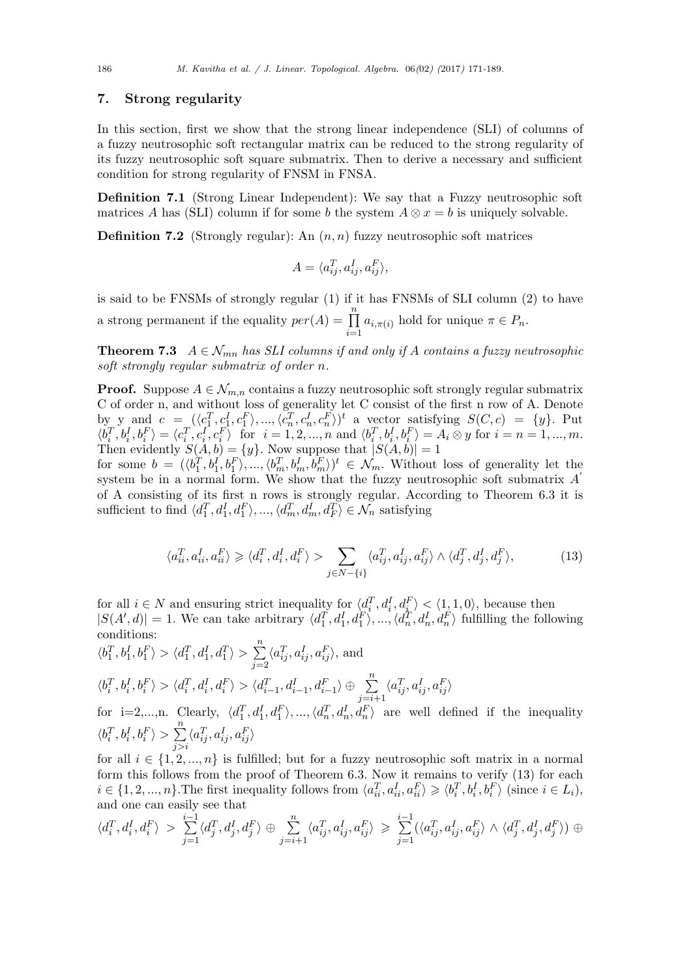## **7. Strong regularity**

In this section, first we show that the strong linear independence (SLI) of columns of a fuzzy neutrosophic soft rectangular matrix can be reduced to the strong regularity of its fuzzy neutrosophic soft square submatrix. Then to derive a necessary and sufficient condition for strong regularity of FNSM in FNSA.

**Definition 7.1** (Strong Linear Independent): We say that a Fuzzy neutrosophic soft matrices *A* has (SLI) column if for some *b* the system  $A \otimes x = b$  is uniquely solvable.

**Definition 7.2** (Strongly regular): An (*n, n*) fuzzy neutrosophic soft matrices

$$
A = \langle a_{ij}^T, a_{ij}^I, a_{ij}^F \rangle,
$$

is said to be FNSMs of strongly regular (1) if it has FNSMs of SLI column (2) to have a strong permanent if the equality  $per(A) = \prod_{r=1}^{n}$  $\prod_{i=1}$   $a_{i,\pi(i)}$  hold for unique  $\pi \in P_n$ .

**Theorem 7.3**  $A \in \mathcal{N}_{mn}$  has SLI columns if and only if A contains a fuzzy neutrosophic *soft strongly regular submatrix of order n.*

**Proof.** Suppose  $A \in \mathcal{N}_{m,n}$  contains a fuzzy neutrosophic soft strongly regular submatrix C of order n, and without loss of generality let C consist of the first n row of A. Denote by y and  $c = ((c_1^T, c_1^I, c_1^F), ..., (c_n^T, c_n^I, c_n^F))^t$  a vector satisfying  $S(C, c) = \{y\}$ . Put  $\langle b_i^T, b_i^I, b_i^F \rangle = \langle c_i^T, c_i^I, c_i^F \rangle$  for  $i = 1, 2, ..., n$  and  $\langle b_i^T, b_i^I, b_i^F \rangle = A_i \otimes y$  for  $i = n = 1, ..., m$ . Then evidently  $S(A, b) = \{y\}$ . Now suppose that  $|S(A, b)| = 1$ 

for some  $b = (\langle b_1^T, b_1^I, b_1^F \rangle, ..., \langle b_m^T, b_m^I, b_m^F \rangle)^t \in \mathcal{N}_m$ . Without loss of generality let the system be in a normal form. We show that the fuzzy neutrosophic soft submatrix *A ′* of A consisting of its first n rows is strongly regular. According to Theorem 6.3 it is sufficient to find  $\langle d_1^T, d_1^I, d_1^F \rangle, ..., \langle d_m^T, d_m^I, d_F^T \rangle \in \mathcal{N}_n$  satisfying

$$
\langle a_{ii}^T, a_{ii}^I, a_{ii}^F \rangle \geq \langle d_i^T, d_i^I, d_i^F \rangle > \sum_{j \in N - \{i\}} \langle a_{ij}^T, a_{ij}^I, a_{ij}^F \rangle \wedge \langle d_j^T, d_j^I, d_j^F \rangle, \tag{13}
$$

for all  $i \in N$  and ensuring strict inequality for  $\langle d_i^T, d_i^I, d_k^F \rangle \langle 1, 1, 0 \rangle$ , because then  $|S(A', d)| = 1$ . We can take arbitrary  $\langle d_1^T, d_1^I, d_1^F \rangle, ..., \langle d_n^T, d_n^I, d_n^F \rangle$  fulfilling the following conditions: ∑*n*

$$
\langle b_1^T, b_1^I, b_1^F \rangle > \langle d_1^T, d_1^I, d_1^T \rangle > \sum_{j=2}^n \langle a_{ij}^T, a_{ij}^I, a_{ij}^F \rangle
$$
, and  

$$
\langle b_i^T, b_i^I, b_i^F \rangle > \langle d_i^T, d_i^I, d_i^F \rangle > \langle d_{i-1}^T, d_{i-1}^I, d_{i-1}^F \rangle \oplus \sum_{j=i+1}^n \langle a_{ij}^T, a_{ij}^I, a_{ij}^F \rangle
$$
  
for i=2,...,n. Clearly,  $\langle d_1^T, d_1^I, d_1^F \rangle$ , ...,  $\langle d_n^T, d_n^I, d_n^F \rangle$  are well defined if the inequality  
 $\langle b_i^T, b_i^I, b_i^F \rangle > \sum_{i=1}^n \langle a_{ij}^T, a_{ij}^I, a_{ij}^F \rangle$ 

*j>i* for all  $i \in \{1, 2, ..., n\}$  is fulfilled; but for a fuzzy neutrosophic soft matrix in a normal form this follows from the proof of Theorem 6.3. Now it remains to verify (13) for each  $i \in \{1, 2, ..., n\}$ . The first inequality follows from  $\langle a_{ii}^T, a_{ii}^I, a_{ii}^F \rangle \geq \langle b_i^T, b_i^I, b_i^F \rangle$  (since  $i \in L_i$ ), and one can easily see that

$$
\langle d_i^T, d_i^I, d_i^F \rangle > \sum_{j=1}^{i-1} \langle d_j^T, d_j^I, d_j^F \rangle \oplus \sum_{j=i+1}^{n} \langle a_{ij}^T, a_{ij}^I, a_{ij}^F \rangle \geqslant \sum_{j=1}^{i-1} (\langle a_{ij}^T, a_{ij}^I, a_{ij}^F \rangle \wedge \langle d_j^T, d_j^I, d_j^F \rangle) \oplus
$$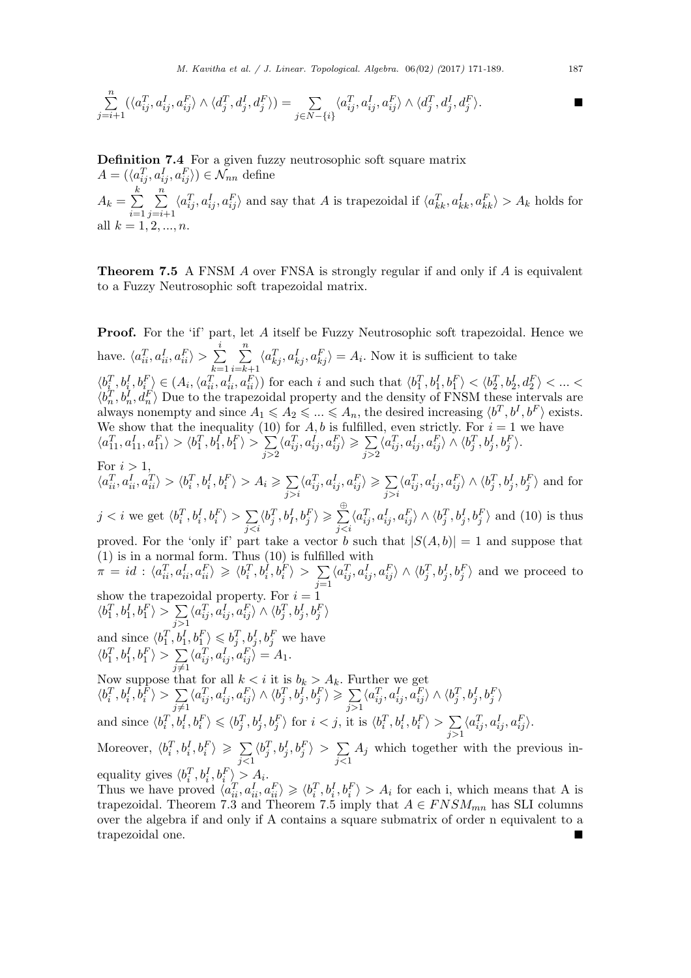*M. Kavitha et al. / J. Linear. Topological. Algebra.* 06*(*02*) (*2017*)* 171*-*189*.* 187

$$
\sum_{j=i+1}^n (\langle a_{ij}^T, a_{ij}^I, a_{ij}^F \rangle \wedge \langle d_j^T, d_j^I, d_j^F \rangle) = \sum_{j \in N - \{i\}} \langle a_{ij}^T, a_{ij}^I, a_{ij}^F \rangle \wedge \langle d_j^T, d_j^I, d_j^F \rangle.
$$

**Definition 7.4** For a given fuzzy neutrosophic soft square matrix  $A = (\langle a_{ij}^T, a_{ij}^I, a_{ij}^F \rangle) \in \mathcal{N}_{nn}$  define  $A_k = \sum$ *k i*=1 ∑*n j*=*i*+1  $\langle a_{ij}^T, a_{ij}^I, a_{ij}^F \rangle$  and say that A is trapezoidal if  $\langle a_{kk}^T, a_{kk}^I, a_{kk}^F \rangle > A_k$  holds for all  $k = 1, 2, ..., n$ .

**Theorem 7.5** A FNSM *A* over FNSA is strongly regular if and only if *A* is equivalent to a Fuzzy Neutrosophic soft trapezoidal matrix.

**Proof.** For the 'if' part, let *A* itself be Fuzzy Neutrosophic soft trapezoidal. Hence we have.  $\langle a_{ii}^T, a_{ii}^I, a_{ii}^F \rangle > \sum$ *i k*=1 ∑*n i*=*k*+1  $\langle a_{kj}^T, a_{kj}^I, a_{kj}^F \rangle = A_i$ . Now it is sufficient to take  $\langle b_{i}^T, b_{i}^I, b_{i}^F \rangle \in (A_i, \langle a_{ii}^T, a_{ii}^I, a_{ii}^F \rangle)$  for each i and such that  $\langle b_1^T, b_1^I, b_1^F \rangle < \langle b_2^T, b_2^I, d_2^F \rangle < \ldots <$  $\langle b_n^T, b_n^I, d_n^F \rangle$  Due to the trapezoidal property and the density of FNSM these intervals are always nonempty and since  $A_1 \leqslant A_2 \leqslant ... \leqslant A_n$ , the desired increasing  $\langle b^T, b^I, b^F \rangle$  exists. We show that the inequality (10) for  $A, b$  is fulfilled, even strictly. For  $i = 1$  we have  $\langle a_{11}^T, a_{11}^I, a_{11}^F \rangle > \langle b_1^T, b_1^I, b_1^F \rangle > \sum$ *j>*2  $\langle a_{ij}^T, a_{ij}^I, a_{ij}^F \rangle \geqslant \sum$ *j>*2  $\langle a_{ij}^T, a_{ij}^I, a_{ij}^F \rangle \wedge \langle b_j^T, b_j^I, b_j^F \rangle.$ For  $i > 1$ ,  $\langle a_{ii}^T, a_{ii}^I, a_{ii}^T \rangle > \langle b_i^T, b_i^I, b_i^F \rangle > A_i \geqslant \sum$ *j>i*  $\langle a_{ij}^T, a_{ij}^I, a_{ij}^F \rangle \geqslant \sum$ *j>i*  $\langle a_{ij}^T, a_{ij}^I, a_{ij}^F \rangle \wedge \langle b_j^T, b_j^I, b_j^F \rangle$  and for  $j < i$  we get  $\langle b_i^T, b_i^I, b_i^F \rangle > \sum$ *j<i*  $\langle b_j^T,b_l^I,b_j^F \rangle \geqslant \sum_j^{\infty}$ *⊕ j<i*  $\langle a_{ij}^T, a_{ij}^I, a_{ij}^F \rangle \wedge \langle b_j^T, b_j^I, b_j^F \rangle$  and (10) is thus proved. For the 'only if' part take a vector *b* such that  $|S(A, b)| = 1$  and suppose that (1) is in a normal form. Thus (10) is fulfilled with  $\pi \,=\, id \,:\, \langle a_{ii}^T, a_{ii}^I, a_{ii}^F \rangle \,\geqslant\, \langle b_i^T, b_i^I, b_i^F \rangle \,>\, \, \sum$ *j*=1  $\langle a_{ij}^T, a_{ij}^I, a_{ij}^F \rangle \wedge \langle b_j^T, b_j^I, b_j^F \rangle$  and we proceed to show the trapezoidal property. For  $i = 1$  $\langle b_1^T, b_1^I, b_1^F \rangle > \sum$ *j>*1  $\langle a_{ij}^T, a_{ij}^I, a_{ij}^F \rangle \wedge \langle b_j^T, b_j^I, b_j^F \rangle$ and since  $\langle b_1^T, b_1^I, b_1^F \rangle \leqslant b_j^T, b_j^I, b_j^F$  we have  $\langle b_1^T, b_1^I, b_1^F \rangle > \sum$ *j̸*=1  $\langle a_{ij}^T, a_{ij}^I, a_{ij}^F \rangle = A_1.$ Now suppose that for all  $k < i$  it is  $b_k > A_k$ . Further we get  $\langle b_i^T, b_i^I, b_i^F \rangle > \sum$ *j̸*=1  $\langle a_{ij}^T, a_{ij}^I, a_{ij}^F \rangle \wedge \langle b_j^T, b_j^I, b_j^F \rangle \geqslant \sum$ *j>*1  $\langle a_{ij}^T, a_{ij}^I, a_{ij}^F \rangle \wedge \langle b_j^T, b_j^I, b_j^F \rangle$ and since  $\langle b_i^T, b_i^I, b_i^F \rangle \leq \langle b_j^T, b_j^I, b_j^F \rangle$  for  $i < j$ , it is  $\langle b_i^T, b_i^I, b_i^F \rangle > \sum$ *j>*1  $\langle a_{ij}^T, a_{ij}^I, a_{ij}^F \rangle.$ Moreover,  $\langle b_i^T, b_i^I, b_i^F \rangle \geq \sum$ *j<*1  $\langle b_j^T, b_j^I, b_j^F \rangle > \sum$ *j<*1 *A<sup>j</sup>* which together with the previous inequality gives  $\langle b_i^T, b_i^I, b_i^F \rangle > A_i$ . Thus we have proved  $\langle a_{ii}^T, a_{ii}^I, a_{ii}^F \rangle \geq \langle b_i^T, b_i^I, b_i^F \rangle > A_i$  for each i, which means that A is

trapezoidal. Theorem 7.3 and Theorem 7.5 imply that  $A \in FNSM_{mn}$  has SLI columns over the algebra if and only if A contains a square submatrix of order n equivalent to a trapezoidal one.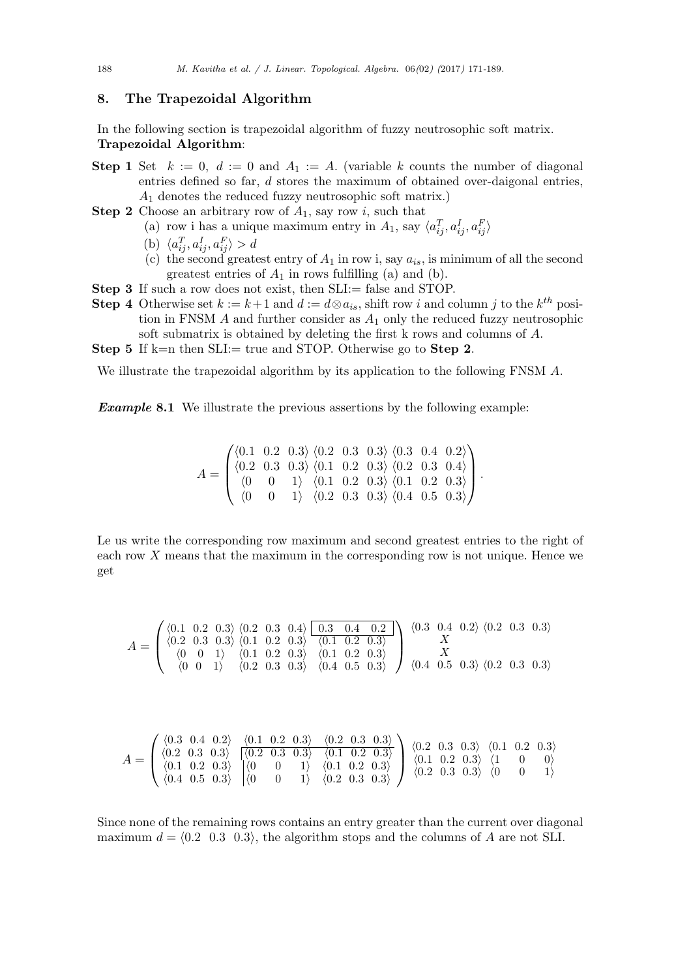## **8. The Trapezoidal Algorithm**

In the following section is trapezoidal algorithm of fuzzy neutrosophic soft matrix. **Trapezoidal Algorithm**:

- **Step 1** Set  $k := 0$ ,  $d := 0$  and  $A_1 := A$ . (variable k counts the number of diagonal entries defined so far, *d* stores the maximum of obtained over-daigonal entries, *A*<sup>1</sup> denotes the reduced fuzzy neutrosophic soft matrix.)
- **Step 2** Choose an arbitrary row of *A*1, say row *i*, such that
	- (a) row i has a unique maximum entry in  $A_1$ , say  $\langle a_{ij}^T, a_{ij}^I, a_{ij}^F \rangle$
	- (b)  $\langle a_{ij}^T, a_{ij}^I, a_{ij}^F \rangle > d$
	- (c) the second greatest entry of  $A_1$  in row i, say  $a_{is}$ , is minimum of all the second greatest entries of  $A_1$  in rows fulfilling (a) and (b).
- **Step 3** If such a row does not exist, then SLI:= false and STOP.
- **Step 4** Otherwise set  $k := k+1$  and  $d := d \otimes a_{is}$ , shift row *i* and column *j* to the  $k^{th}$  position in FNSM *A* and further consider as *A*<sup>1</sup> only the reduced fuzzy neutrosophic soft submatrix is obtained by deleting the first k rows and columns of *A*.
- **Step 5** If k=n then SLI:= true and STOP. Otherwise go to **Step 2**.

We illustrate the trapezoidal algorithm by its application to the following FNSM *A*.

*Example* **8.1** We illustrate the previous assertions by the following example:

 $A =$  $\sqrt{ }$  $\overline{\phantom{a}}$ *⟨*0*.*1 0*.*2 0*.*3*⟩ ⟨*0*.*2 0*.*3 0*.*3*⟩ ⟨*0*.*3 0*.*4 0*.*2*⟩ ⟨*0*.*2 0*.*3 0*.*3*⟩ ⟨*0*.*1 0*.*2 0*.*3*⟩ ⟨*0*.*2 0*.*3 0*.*4*⟩ ⟨*0 0 1*⟩ ⟨*0*.*1 0*.*2 0*.*3*⟩ ⟨*0*.*1 0*.*2 0*.*3*⟩ ⟨*0 0 1*⟩ ⟨*0*.*2 0*.*3 0*.*3*⟩ ⟨*0*.*4 0*.*5 0*.*3*⟩*  $\setminus$ *.*

Le us write the corresponding row maximum and second greatest entries to the right of each row *X* means that the maximum in the corresponding row is not unique. Hence we get

*A* = *⟨*0*.*1 0*.*2 0*.*3*⟩ ⟨*0*.*2 0*.*3 0*.*4*⟩* 0.3 0.4 0.2 *⟨*0*.*2 0*.*3 0*.*3*⟩ ⟨*0*.*1 0*.*2 0*.*3*⟩ ⟨*0*.*1 0*.*2 0*.*3*⟩ ⟨*0 0 1*⟩ ⟨*0*.*1 0*.*2 0*.*3*⟩ ⟨*0*.*1 0*.*2 0*.*3*⟩ ⟨*0 0 1*⟩ ⟨*0*.*2 0*.*3 0*.*3*⟩ ⟨*0*.*4 0*.*5 0*.*3*⟩ ⟨*0*.*3 0*.*4 0*.*2*⟩ ⟨*0*.*2 0*.*3 0*.*3*⟩ X X ⟨*0*.*4 0*.*5 0*.*3*⟩ ⟨*0*.*2 0*.*3 0*.*3*⟩*

$$
A = \begin{pmatrix} \langle 0.3 & 0.4 & 0.2 \rangle & \langle 0.1 & 0.2 & 0.3 \rangle & \langle 0.2 & 0.3 & 0.3 \rangle \\ \langle 0.2 & 0.3 & 0.3 \rangle & \langle 0.2 & 0.3 & 0.3 \rangle & \langle 0.1 & 0.2 & 0.3 \rangle \\ \langle 0.1 & 0.2 & 0.3 \rangle & \langle 0 & 0 & 1 \rangle & \langle 0.1 & 0.2 & 0.3 \rangle \\ \langle 0.4 & 0.5 & 0.3 \rangle & \langle 0 & 0 & 1 \rangle & \langle 0.2 & 0.3 & 0.3 \rangle \end{pmatrix} \begin{pmatrix} 0.2 & 0.3 & 0.3 \rangle & \langle 0.1 & 0.2 & 0.3 \rangle \\ \langle 0.1 & 0.2 & 0.3 & \langle 1 & 0 & 0 \rangle \\ \langle 0.2 & 0.3 & 0.3 \rangle & \langle 0 & 0 & 1 \rangle \end{pmatrix}
$$

Since none of the remaining rows contains an entry greater than the current over diagonal maximum  $d = \langle 0.2 \ 0.3 \ 0.3 \rangle$ , the algorithm stops and the columns of *A* are not SLI.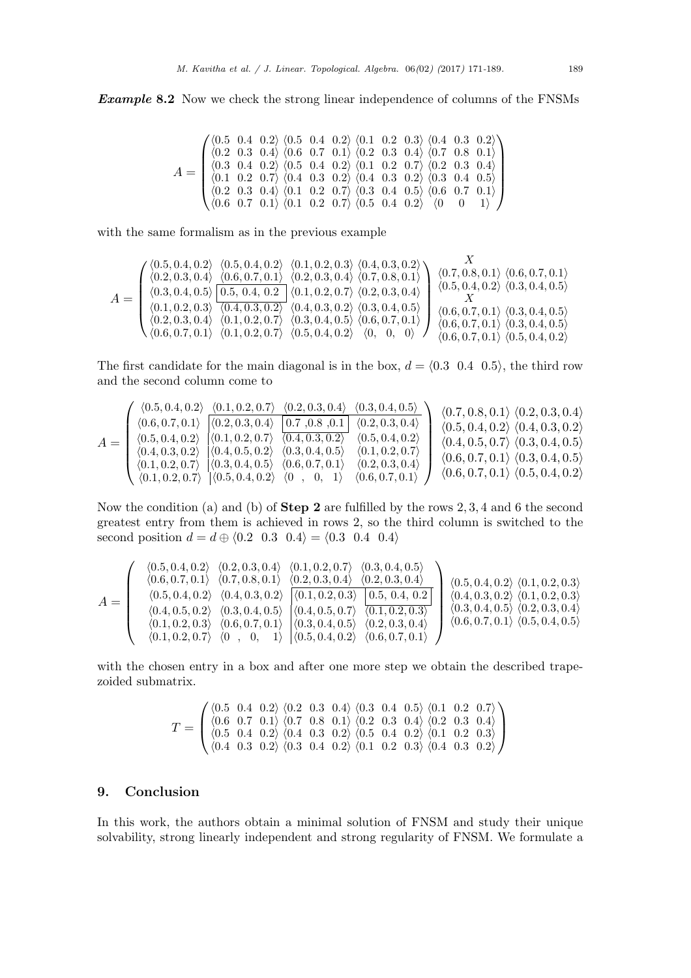*Example* **8.2** Now we check the strong linear independence of columns of the FNSMs

$$
A = \begin{pmatrix} \langle 0.5 & 0.4 & 0.2 \rangle & \langle 0.5 & 0.4 & 0.2 \rangle & \langle 0.1 & 0.2 & 0.3 \rangle & \langle 0.4 & 0.3 & 0.2 \rangle \\ \langle 0.2 & 0.3 & 0.4 & \langle 0.6 & 0.7 & 0.1 \rangle & \langle 0.2 & 0.3 & 0.4 \rangle & \langle 0.7 & 0.8 & 0.1 \rangle \\ \langle 0.3 & 0.4 & 0.2 & \langle 0.5 & 0.4 & 0.2 \rangle & \langle 0.1 & 0.2 & 0.7 \rangle & \langle 0.2 & 0.3 & 0.4 \rangle \\ \langle 0.1 & 0.2 & 0.7 & \langle 0.4 & 0.3 & 0.2 \rangle & \langle 0.4 & 0.3 & 0.2 \rangle & \langle 0.3 & 0.4 & 0.5 \rangle \\ \langle 0.2 & 0.3 & 0.4 & \langle 0.1 & 0.2 & 0.7 \rangle & \langle 0.3 & 0.4 & 0.5 \rangle & \langle 0.6 & 0.7 & 0.1 \rangle \\ \langle 0.6 & 0.7 & 0.1 & \langle 0.1 & 0.2 & 0.7 \rangle & \langle 0.5 & 0.4 & 0.2 \rangle & \langle 0 & 0 & 1 \rangle \end{pmatrix}
$$

with the same formalism as in the previous example

$$
A = \begin{pmatrix} \langle 0.5, 0.4, 0.2 \rangle & \langle 0.5, 0.4, 0.2 \rangle & \langle 0.1, 0.2, 0.3 \rangle & \langle 0.4, 0.3, 0.2 \rangle & \langle 0.7, 0.8, 0.1 \rangle & \langle 0.7, 0.8, 0.1 \rangle & \langle 0.6, 0.7, 0.1 \rangle & \langle 0.2, 0.3, 0.4 \rangle & \langle 0.7, 0.8, 0.1 \rangle & \langle 0.5, 0.4, 0.2 \rangle & \langle 0.3, 0.4, 0.5 \rangle & \langle 0.4, 0.3, 0.2 \rangle & \langle 0.1, 0.2, 0.7 \rangle & \langle 0.2, 0.3, 0.4 \rangle & \langle 0.5, 0.4, 0.2 \rangle & \langle 0.3, 0.4, 0.5 \rangle & \langle 0.2, 0.3, 0.4 \rangle & \langle 0.1, 0.2, 0.7 \rangle & \langle 0.3, 0.4, 0.5 \rangle & \langle 0.6, 0.7, 0.1 \rangle & \langle 0.3, 0.4, 0.5 \rangle & \langle 0.6, 0.7, 0.1 \rangle & \langle 0.3, 0.4, 0.5 \rangle & \langle 0.6, 0.7, 0.1 \rangle & \langle 0.3, 0.4, 0.5 \rangle & \langle 0.6, 0.7, 0.1 \rangle & \langle 0.3, 0.4, 0.5 \rangle & \langle 0.6, 0.7, 0.1 \rangle & \langle 0.3, 0.4, 0.5 \rangle & \langle 0.6, 0.7, 0.1 \rangle & \langle 0.3, 0.4, 0.5 \rangle & \langle 0.6, 0.7, 0.1 \rangle & \langle 0.3, 0.4, 0.2 \rangle & \langle 0.4, 0.2 \rangle & \langle 0.4, 0.2 \rangle & \langle 0.4, 0.2 \rangle & \langle 0.4, 0.2 \rangle & \langle 0.4, 0.2 \rangle & \langle 0.4, 0.2 \rangle & \langle 0.4, 0.2 \rangle & \langle 0.4, 0.2 \rangle & \langle 0.4, 0.2 \
$$

The first candidate for the main diagonal is in the box,  $d = \langle 0.3 \, 0.4 \, 0.5 \rangle$ , the third row and the second column come to

$$
A = \begin{pmatrix} \langle 0.5, 0.4, 0.2 \rangle & \langle 0.1, 0.2, 0.7 \rangle & \langle 0.2, 0.3, 0.4 \rangle & \langle 0.3, 0.4, 0.5 \rangle \\ \langle 0.5, 0.4, 0.2 \rangle & \langle 0.1, 0.2, 0.7 \rangle & \langle 0.2, 0.3, 0.4 \rangle & 0.7, 0.8, 0.1 \rangle \\ \langle 0.4, 0.3, 0.2 \rangle & \langle 0.4, 0.5, 0.2 \rangle & \langle 0.3, 0.4, 0.5 \rangle & \langle 0.3, 0.4, 0.5 \rangle \\ \langle 0.1, 0.2, 0.7 \rangle & \langle 0.3, 0.4, 0.5 \rangle & \langle 0.2, 0.3, 0.4 \rangle & 0.2, 0.7 \rangle \\ \langle 0.1, 0.2, 0.7 \rangle & \langle 0.3, 0.4, 0.5 \rangle & \langle 0.6, 0.7, 0.1 \rangle & \langle 0.2, 0.3, 0.4 \rangle \\ \langle 0.1, 0.2, 0.7 \rangle & \langle 0.5, 0.4, 0.2 \rangle & \langle 0 & 0, 0.1 \rangle & \langle 0.2, 0.3, 0.4 \rangle \\ \langle 0.1, 0.2, 0.7 \rangle & \langle 0.5, 0.4, 0.2 \rangle & \langle 0 & 0, 0.1 \rangle & \langle 0.6, 0.7, 0.1 \rangle \end{pmatrix} \begin{pmatrix} 0.7, 0.8, 0.1 \rangle & \langle 0.2, 0.3, 0.4 \rangle \\ \langle 0.5, 0.4, 0.2 \rangle & \langle 0.4, 0.3, 0.2 \rangle \\ \langle 0.6, 0.7, 0.1 \rangle & \langle 0.3, 0.4, 0.5 \rangle \\ \langle 0.6, 0.7, 0.1 \rangle & \langle 0.5, 0.4, 0.2 \rangle \\ \langle 0.6, 0.7, 0.1 \rangle & \langle 0.5, 0.4, 0.2 \rangle \end{pmatrix}
$$

Now the condition (a) and (b) of **Step 2** are fulfilled by the rows 2*,* 3*,* 4 and 6 the second greatest entry from them is achieved in rows 2, so the third column is switched to the second position  $d = d \oplus (0.2 \ 0.3 \ 0.4) = (0.3 \ 0.4 \ 0.4)$ 

$$
A = \left(\begin{array}{cccccc} \langle 0.5, 0.4, 0.2 \rangle & \langle 0.2, 0.3, 0.4 \rangle & \langle 0.1, 0.2, 0.7 \rangle & \langle 0.3, 0.4, 0.5 \rangle \\ \langle 0.6, 0.7, 0.1 \rangle & \langle 0.7, 0.8, 0.1 \rangle & \langle 0.2, 0.3, 0.4 \rangle & \langle 0.2, 0.3, 0.4 \rangle \\ \langle 0.5, 0.4, 0.2 \rangle & \langle 0.4, 0.3, 0.2 \rangle & \langle 0.4, 0.3, 0.4 \rangle \\ \langle 0.4, 0.5, 0.2 \rangle & \langle 0.3, 0.4, 0.5 \rangle & \langle 0.4, 0.5, 0.7 \rangle & \langle 0.1, 0.2, 0.3 \rangle \\ \langle 0.1, 0.2, 0.3 \rangle & \langle 0.6, 0.7, 0.1 \rangle & \langle 0.3, 0.4, 0.5 \rangle & \langle 0.2, 0.3, 0.4 \rangle \\ \langle 0.1, 0.2, 0.3 \rangle & \langle 0.6, 0.7, 0.1 \rangle & \langle 0.3, 0.4, 0.5 \rangle & \langle 0.2, 0.3, 0.4 \rangle \\ \langle 0.1, 0.2, 0.7 \rangle & \langle 0, 0, 1 \rangle & \langle 0.5, 0.4, 0.2 \rangle & \langle 0.6, 0.7, 0.1 \rangle & \langle 0.6, 0.7, 0.1 \rangle \\ \langle 0.6, 0.7, 0.1 \rangle & \langle 0.5, 0.4, 0.5 \rangle & \langle 0.2, 0.3, 0.4 \rangle \\ \langle 0.4, 0.2, 0.7 \rangle & \langle 0, 0, 1 \rangle & \langle 0.5, 0.4, 0.2 \rangle & \langle 0.6, 0.7, 0.1 \rangle \end{array}\right) \times \left(\begin{array}{c} \langle 0.5, 0.4, 0.2 \rangle & \langle 0.1, 0.2, 0.3 \rangle \\ \langle 0.4, 0.3, 0.2 \rangle & \langle 0.1, 0.2, 0.3 \rangle \\ \
$$

with the chosen entry in a box and after one more step we obtain the described trapezoided submatrix.

$$
T = \begin{pmatrix} \langle 0.5 & 0.4 & 0.2 \rangle & \langle 0.2 & 0.3 & 0.4 \rangle & \langle 0.3 & 0.4 & 0.5 \rangle & \langle 0.1 & 0.2 & 0.7 \rangle \\ \langle 0.6 & 0.7 & 0.1 \rangle & \langle 0.7 & 0.8 & 0.1 \rangle & \langle 0.2 & 0.3 & 0.4 \rangle & \langle 0.2 & 0.3 & 0.4 \rangle \\ \langle 0.5 & 0.4 & 0.2 \rangle & \langle 0.4 & 0.3 & 0.2 \rangle & \langle 0.5 & 0.4 & 0.2 \rangle & \langle 0.1 & 0.2 & 0.3 \rangle \\ \langle 0.4 & 0.3 & 0.2 \rangle & \langle 0.3 & 0.4 & 0.2 \rangle & \langle 0.1 & 0.2 & 0.3 \rangle & \langle 0.4 & 0.3 & 0.2 \rangle \end{pmatrix}
$$

## **9. Conclusion**

In this work, the authors obtain a minimal solution of FNSM and study their unique solvability, strong linearly independent and strong regularity of FNSM. We formulate a